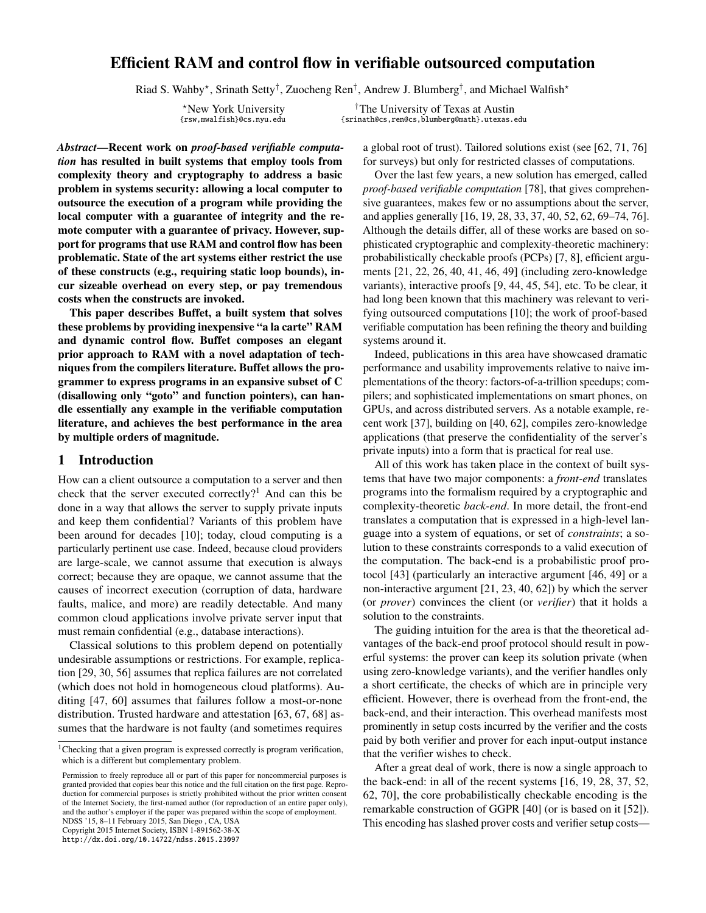# Efficient RAM and control flow in verifiable outsourced computation

Riad S. Wahby\*, Srinath Setty<sup>†</sup>, Zuocheng Ren<sup>†</sup>, Andrew J. Blumberg<sup>†</sup>, and Michael Walfish\*

<sup>⋆</sup>New York University {rsw,mwalfish}@cs.nyu.edu

†The University of Texas at Austin {srinath@cs,ren@cs,blumberg@math}.utexas.edu

*Abstract*—Recent work on *proof-based verifiable computation* has resulted in built systems that employ tools from complexity theory and cryptography to address a basic problem in systems security: allowing a local computer to outsource the execution of a program while providing the local computer with a guarantee of integrity and the remote computer with a guarantee of privacy. However, support for programs that use RAM and control flow has been problematic. State of the art systems either restrict the use of these constructs (e.g., requiring static loop bounds), incur sizeable overhead on every step, or pay tremendous costs when the constructs are invoked.

This paper describes Buffet, a built system that solves these problems by providing inexpensive "a la carte" RAM and dynamic control flow. Buffet composes an elegant prior approach to RAM with a novel adaptation of techniques from the compilers literature. Buffet allows the programmer to express programs in an expansive subset of C (disallowing only "goto" and function pointers), can handle essentially any example in the verifiable computation literature, and achieves the best performance in the area by multiple orders of magnitude.

## <span id="page-0-0"></span>1 Introduction

How can a client outsource a computation to a server and then check that the server executed correctly?<sup>1</sup> And can this be done in a way that allows the server to supply private inputs and keep them confidential? Variants of this problem have been around for decades [\[10\]](#page-13-0); today, cloud computing is a particularly pertinent use case. Indeed, because cloud providers are large-scale, we cannot assume that execution is always correct; because they are opaque, we cannot assume that the causes of incorrect execution (corruption of data, hardware faults, malice, and more) are readily detectable. And many common cloud applications involve private server input that must remain confidential (e.g., database interactions).

Classical solutions to this problem depend on potentially undesirable assumptions or restrictions. For example, replication [\[29,](#page-14-0) [30,](#page-14-1) [56\]](#page-14-2) assumes that replica failures are not correlated (which does not hold in homogeneous cloud platforms). Auditing [\[47,](#page-14-3) [60\]](#page-14-4) assumes that failures follow a most-or-none distribution. Trusted hardware and attestation [\[63,](#page-14-5) [67,](#page-14-6) [68\]](#page-14-7) assumes that the hardware is not faulty (and sometimes requires

NDSS '15, 8–11 February 2015, San Diego , CA, USA Copyright 2015 Internet Society, ISBN 1-891562-38-X

<http://dx.doi.org/10.14722/ndss.2015.23097>

a global root of trust). Tailored solutions exist (see [\[62,](#page-14-8) [71,](#page-14-9) [76\]](#page-14-10) for surveys) but only for restricted classes of computations.

Over the last few years, a new solution has emerged, called *proof-based verifiable computation* [\[78\]](#page-14-11), that gives comprehensive guarantees, makes few or no assumptions about the server, and applies generally [\[16,](#page-14-12) [19,](#page-14-13) [28,](#page-14-14) [33,](#page-14-15) [37,](#page-14-16) [40,](#page-14-17) [52,](#page-14-18) [62,](#page-14-8) [69](#page-14-19)[–74,](#page-14-20) [76\]](#page-14-10). Although the details differ, all of these works are based on sophisticated cryptographic and complexity-theoretic machinery: probabilistically checkable proofs (PCPs) [\[7,](#page-13-1) [8\]](#page-13-2), efficient arguments [\[21,](#page-14-21) [22,](#page-14-22) [26,](#page-14-23) [40,](#page-14-17) [41,](#page-14-24) [46,](#page-14-25) [49\]](#page-14-26) (including zero-knowledge variants), interactive proofs [\[9,](#page-13-3) [44,](#page-14-27) [45,](#page-14-28) [54\]](#page-14-29), etc. To be clear, it had long been known that this machinery was relevant to verifying outsourced computations [\[10\]](#page-13-0); the work of proof-based verifiable computation has been refining the theory and building systems around it.

Indeed, publications in this area have showcased dramatic performance and usability improvements relative to naive implementations of the theory: factors-of-a-trillion speedups; compilers; and sophisticated implementations on smart phones, on GPUs, and across distributed servers. As a notable example, recent work [\[37\]](#page-14-16), building on [\[40,](#page-14-17) [62\]](#page-14-8), compiles zero-knowledge applications (that preserve the confidentiality of the server's private inputs) into a form that is practical for real use.

All of this work has taken place in the context of built systems that have two major components: a *front-end* translates programs into the formalism required by a cryptographic and complexity-theoretic *back-end*. In more detail, the front-end translates a computation that is expressed in a high-level language into a system of equations, or set of *constraints*; a solution to these constraints corresponds to a valid execution of the computation. The back-end is a probabilistic proof protocol [\[43\]](#page-14-30) (particularly an interactive argument [\[46,](#page-14-25) [49\]](#page-14-26) or a non-interactive argument [\[21,](#page-14-21) [23,](#page-14-31) [40,](#page-14-17) [62\]](#page-14-8)) by which the server (or *prover*) convinces the client (or *verifier*) that it holds a solution to the constraints.

The guiding intuition for the area is that the theoretical advantages of the back-end proof protocol should result in powerful systems: the prover can keep its solution private (when using zero-knowledge variants), and the verifier handles only a short certificate, the checks of which are in principle very efficient. However, there is overhead from the front-end, the back-end, and their interaction. This overhead manifests most prominently in setup costs incurred by the verifier and the costs paid by both verifier and prover for each input-output instance that the verifier wishes to check.

After a great deal of work, there is now a single approach to the back-end: in all of the recent systems [\[16,](#page-14-12) [19,](#page-14-13) [28,](#page-14-14) [37,](#page-14-16) [52,](#page-14-18) [62,](#page-14-8) [70\]](#page-14-32), the core probabilistically checkable encoding is the remarkable construction of GGPR [\[40\]](#page-14-17) (or is based on it [\[52\]](#page-14-18)). This encoding has slashed prover costs and verifier setup costs—

<sup>&</sup>lt;sup>1</sup>Checking that a given program is expressed correctly is program verification, which is a different but complementary problem.

Permission to freely reproduce all or part of this paper for noncommercial purposes is granted provided that copies bear this notice and the full citation on the first page. Reproduction for commercial purposes is strictly prohibited without the prior written consent of the Internet Society, the first-named author (for reproduction of an entire paper only), and the author's employer if the paper was prepared within the scope of employment.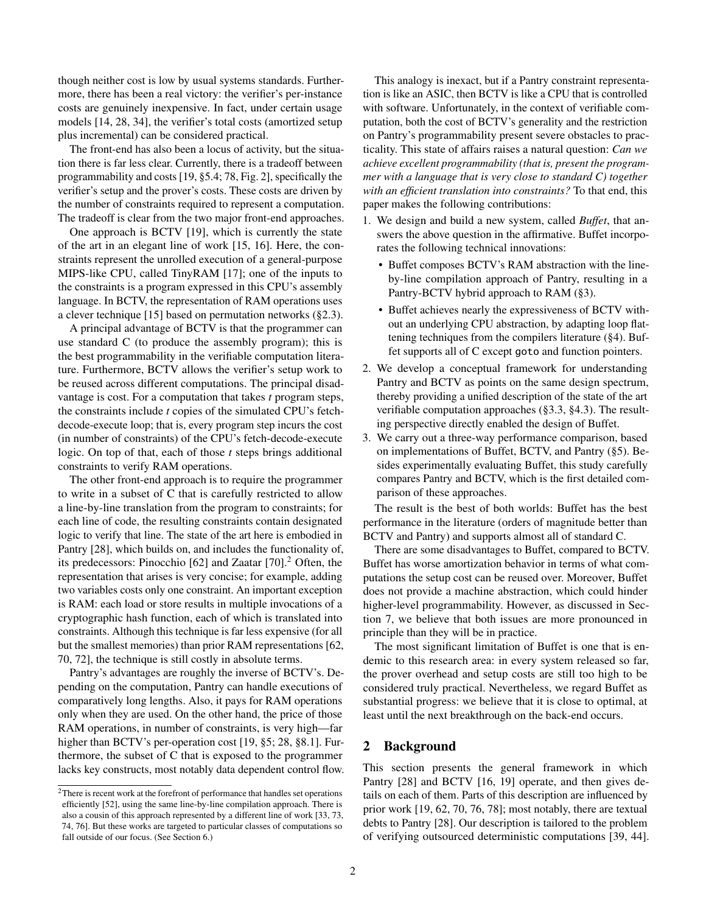though neither cost is low by usual systems standards. Furthermore, there has been a real victory: the verifier's per-instance costs are genuinely inexpensive. In fact, under certain usage models [\[14,](#page-13-4) [28,](#page-14-14) [34\]](#page-14-33), the verifier's total costs (amortized setup plus incremental) can be considered practical.

The front-end has also been a locus of activity, but the situation there is far less clear. Currently, there is a tradeoff between programmability and costs [\[19,](#page-14-13) §5.4; [78,](#page-14-11) Fig. 2], specifically the verifier's setup and the prover's costs. These costs are driven by the number of constraints required to represent a computation. The tradeoff is clear from the two major front-end approaches.

One approach is BCTV [\[19\]](#page-14-13), which is currently the state of the art in an elegant line of work [\[15,](#page-14-34) [16\]](#page-14-12). Here, the constraints represent the unrolled execution of a general-purpose MIPS-like CPU, called TinyRAM [\[17\]](#page-14-35); one of the inputs to the constraints is a program expressed in this CPU's assembly language. In BCTV, the representation of RAM operations uses a clever technique [\[15\]](#page-14-34) based on permutation networks ([§2.3\)](#page-3-0).

A principal advantage of BCTV is that the programmer can use standard C (to produce the assembly program); this is the best programmability in the verifiable computation literature. Furthermore, BCTV allows the verifier's setup work to be reused across different computations. The principal disadvantage is cost. For a computation that takes *t* program steps, the constraints include *t* copies of the simulated CPU's fetchdecode-execute loop; that is, every program step incurs the cost (in number of constraints) of the CPU's fetch-decode-execute logic. On top of that, each of those *t* steps brings additional constraints to verify RAM operations.

The other front-end approach is to require the programmer to write in a subset of C that is carefully restricted to allow a line-by-line translation from the program to constraints; for each line of code, the resulting constraints contain designated logic to verify that line. The state of the art here is embodied in Pantry [\[28\]](#page-14-14), which builds on, and includes the functionality of, its predecessors: Pinocchio [\[62\]](#page-14-8) and Zaatar [\[70\]](#page-14-32).<sup>2</sup> Often, the representation that arises is very concise; for example, adding two variables costs only one constraint. An important exception is RAM: each load or store results in multiple invocations of a cryptographic hash function, each of which is translated into constraints. Although this technique is far less expensive (for all but the smallest memories) than prior RAM representations [\[62,](#page-14-8) [70,](#page-14-32) [72\]](#page-14-36), the technique is still costly in absolute terms.

Pantry's advantages are roughly the inverse of BCTV's. Depending on the computation, Pantry can handle executions of comparatively long lengths. Also, it pays for RAM operations only when they are used. On the other hand, the price of those RAM operations, in number of constraints, is very high—far higher than BCTV's per-operation cost [\[19,](#page-14-13) §5; [28,](#page-14-14) §8.1]. Furthermore, the subset of C that is exposed to the programmer lacks key constructs, most notably data dependent control flow.

This analogy is inexact, but if a Pantry constraint representation is like an ASIC, then BCTV is like a CPU that is controlled with software. Unfortunately, in the context of verifiable computation, both the cost of BCTV's generality and the restriction on Pantry's programmability present severe obstacles to practicality. This state of affairs raises a natural question: *Can we achieve excellent programmability (that is, present the programmer with a language that is very close to standard C) together with an efficient translation into constraints?* To that end, this paper makes the following contributions:

- 1. We design and build a new system, called *Buffet*, that answers the above question in the affirmative. Buffet incorporates the following technical innovations:
	- Buffet composes BCTV's RAM abstraction with the lineby-line compilation approach of Pantry, resulting in a Pantry-BCTV hybrid approach to RAM ([§3\)](#page-5-0).
	- Buffet achieves nearly the expressiveness of BCTV without an underlying CPU abstraction, by adapting loop flattening techniques from the compilers literature ([§4\)](#page-7-0). Buffet supports all of C except goto and function pointers.
- 2. We develop a conceptual framework for understanding Pantry and BCTV as points on the same design spectrum, thereby providing a unified description of the state of the art verifiable computation approaches ([§3.3,](#page-7-1) [§4.3\)](#page-9-0). The resulting perspective directly enabled the design of Buffet.
- 3. We carry out a three-way performance comparison, based on implementations of Buffet, BCTV, and Pantry ([§5\)](#page-9-1). Besides experimentally evaluating Buffet, this study carefully compares Pantry and BCTV, which is the first detailed comparison of these approaches.

The result is the best of both worlds: Buffet has the best performance in the literature (orders of magnitude better than BCTV and Pantry) and supports almost all of standard C.

There are some disadvantages to Buffet, compared to BCTV. Buffet has worse amortization behavior in terms of what computations the setup cost can be reused over. Moreover, Buffet does not provide a machine abstraction, which could hinder higher-level programmability. However, as discussed in Section [7,](#page-13-5) we believe that both issues are more pronounced in principle than they will be in practice.

The most significant limitation of Buffet is one that is endemic to this research area: in every system released so far, the prover overhead and setup costs are still too high to be considered truly practical. Nevertheless, we regard Buffet as substantial progress: we believe that it is close to optimal, at least until the next breakthrough on the back-end occurs.

## <span id="page-1-0"></span>2 Background

This section presents the general framework in which Pantry [\[28\]](#page-14-14) and BCTV [\[16,](#page-14-12) [19\]](#page-14-13) operate, and then gives details on each of them. Parts of this description are influenced by prior work [\[19,](#page-14-13) [62,](#page-14-8) [70,](#page-14-32) [76,](#page-14-10) [78\]](#page-14-11); most notably, there are textual debts to Pantry [\[28\]](#page-14-14). Our description is tailored to the problem of verifying outsourced deterministic computations [\[39,](#page-14-38) [44\]](#page-14-27).

<sup>2</sup>There is recent work at the forefront of performance that handles set operations efficiently [\[52\]](#page-14-18), using the same line-by-line compilation approach. There is also a cousin of this approach represented by a different line of work [\[33,](#page-14-15) [73,](#page-14-37) [74,](#page-14-20) [76\]](#page-14-10). But these works are targeted to particular classes of computations so fall outside of our focus. (See Section [6.](#page-12-0))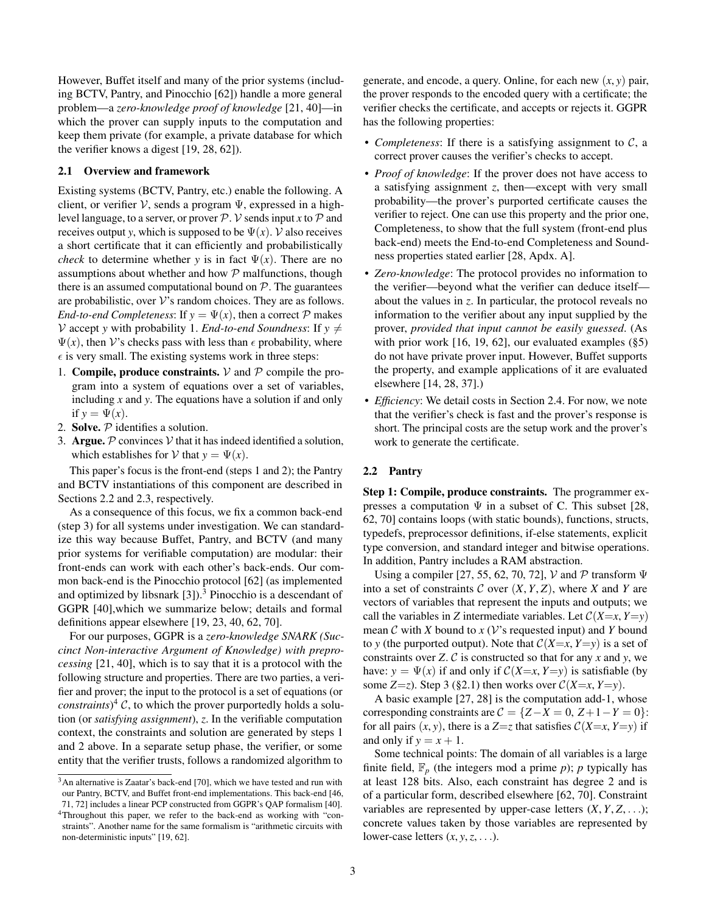However, Buffet itself and many of the prior systems (including BCTV, Pantry, and Pinocchio [\[62\]](#page-14-8)) handle a more general problem—a *zero-knowledge proof of knowledge* [\[21,](#page-14-21) [40\]](#page-14-17)—in which the prover can supply inputs to the computation and keep them private (for example, a private database for which the verifier knows a digest [\[19,](#page-14-13) [28,](#page-14-14) [62\]](#page-14-8)).

## <span id="page-2-1"></span>2.1 Overview and framework

Existing systems (BCTV, Pantry, etc.) enable the following. A client, or verifier  $V$ , sends a program  $\Psi$ , expressed in a highlevel language, to a server, or prover  $P$ .  $V$  sends input x to  $P$  and receives output *y*, which is supposed to be  $\Psi(x)$ . *V* also receives a short certificate that it can efficiently and probabilistically *check* to determine whether *y* is in fact  $\Psi(x)$ . There are no assumptions about whether and how  $P$  malfunctions, though there is an assumed computational bound on  $P$ . The guarantees are probabilistic, over  $V$ 's random choices. They are as follows. *End-to-end Completeness*: If  $y = \Psi(x)$ , then a correct P makes V accept *y* with probability 1. *End-to-end Soundness*: If  $y \neq$  $\Psi(x)$ , then V's checks pass with less than  $\epsilon$  probability, where  $\epsilon$  is very small. The existing systems work in three steps:

- 1. **Compile, produce constraints.**  $V$  and  $P$  compile the program into a system of equations over a set of variables, including *x* and *y*. The equations have a solution if and only if  $y = \Psi(x)$ .
- 2. Solve.  $P$  identifies a solution.
- 3. Argue.  $P$  convinces  $V$  that it has indeed identified a solution, which establishes for  $V$  that  $y = \Psi(x)$ .

This paper's focus is the front-end (steps 1 and 2); the Pantry and BCTV instantiations of this component are described in Sections [2.2](#page-2-0) and [2.3,](#page-3-0) respectively.

As a consequence of this focus, we fix a common back-end (step 3) for all systems under investigation. We can standardize this way because Buffet, Pantry, and BCTV (and many prior systems for verifiable computation) are modular: their front-ends can work with each other's back-ends. Our common back-end is the Pinocchio protocol [\[62\]](#page-14-8) (as implemented and optimized by libsnark  $[3]$ .<sup>3</sup> Pinocchio is a descendant of GGPR [\[40\]](#page-14-17),which we summarize below; details and formal definitions appear elsewhere [\[19,](#page-14-13) [23,](#page-14-31) [40,](#page-14-17) [62,](#page-14-8) [70\]](#page-14-32).

For our purposes, GGPR is a *zero-knowledge SNARK (Succinct Non-interactive Argument of Knowledge) with preprocessing* [\[21,](#page-14-21) [40\]](#page-14-17), which is to say that it is a protocol with the following structure and properties. There are two parties, a verifier and prover; the input to the protocol is a set of equations (or  $constrains$ <sup>4</sup>  $C$ , to which the prover purportedly holds a solution (or *satisfying assignment*), *z*. In the verifiable computation context, the constraints and solution are generated by steps 1 and 2 above. In a separate setup phase, the verifier, or some entity that the verifier trusts, follows a randomized algorithm to

non-deterministic inputs" [\[19,](#page-14-13) [62\]](#page-14-8).

generate, and encode, a query. Online, for each new  $(x, y)$  pair, the prover responds to the encoded query with a certificate; the verifier checks the certificate, and accepts or rejects it. GGPR has the following properties:

- *Completeness*: If there is a satisfying assignment to  $C$ , a correct prover causes the verifier's checks to accept.
- *Proof of knowledge*: If the prover does not have access to a satisfying assignment *z*, then—except with very small probability—the prover's purported certificate causes the verifier to reject. One can use this property and the prior one, Completeness, to show that the full system (front-end plus back-end) meets the End-to-end Completeness and Soundness properties stated earlier [\[28,](#page-14-14) Apdx. A].
- *Zero-knowledge*: The protocol provides no information to the verifier—beyond what the verifier can deduce itself about the values in *z*. In particular, the protocol reveals no information to the verifier about any input supplied by the prover, *provided that input cannot be easily guessed*. (As with prior work [\[16,](#page-14-12) [19,](#page-14-13) [62\]](#page-14-8), our evaluated examples ([§5\)](#page-9-1) do not have private prover input. However, Buffet supports the property, and example applications of it are evaluated elsewhere [\[14,](#page-13-4) [28,](#page-14-14) [37\]](#page-14-16).)
- *Efficiency*: We detail costs in Section [2.4.](#page-4-0) For now, we note that the verifier's check is fast and the prover's response is short. The principal costs are the setup work and the prover's work to generate the certificate.

#### <span id="page-2-0"></span>2.2 Pantry

Step 1: Compile, produce constraints. The programmer expresses a computation  $\Psi$  in a subset of C. This subset [\[28,](#page-14-14) [62,](#page-14-8) [70\]](#page-14-32) contains loops (with static bounds), functions, structs, typedefs, preprocessor definitions, if-else statements, explicit type conversion, and standard integer and bitwise operations. In addition, Pantry includes a RAM abstraction.

Using a compiler [\[27,](#page-14-39) [55,](#page-14-40) [62,](#page-14-8) [70,](#page-14-32) [72\]](#page-14-36),  $V$  and  $P$  transform  $\Psi$ into a set of constraints  $C$  over  $(X, Y, Z)$ , where  $X$  and  $Y$  are vectors of variables that represent the inputs and outputs; we call the variables in *Z* intermediate variables. Let  $C(X=x, Y=y)$ mean  $C$  with  $X$  bound to  $x$  ( $V$ 's requested input) and  $Y$  bound to *y* (the purported output). Note that  $C(X=x, Y=y)$  is a set of constraints over *Z*.  $\mathcal{C}$  is constructed so that for any *x* and *y*, we have:  $y = \Psi(x)$  if and only if  $C(X=x, Y=y)$  is satisfiable (by some *Z*=*z*). Step 3 ([§2.1\)](#page-2-1) then works over  $C(X=x, Y=y)$ .

A basic example [\[27,](#page-14-39) [28\]](#page-14-14) is the computation add-1, whose corresponding constraints are  $C = \{Z - X = 0, Z + 1 - Y = 0\}$ : for all pairs  $(x, y)$ , there is a  $Z=z$  that satisfies  $C(X=x, Y=y)$  if and only if  $y = x + 1$ .

Some technical points: The domain of all variables is a large finite field,  $\mathbb{F}_p$  (the integers mod a prime *p*); *p* typically has at least 128 bits. Also, each constraint has degree 2 and is of a particular form, described elsewhere [\[62,](#page-14-8) [70\]](#page-14-32). Constraint variables are represented by upper-case letters  $(X, Y, Z, \ldots);$ concrete values taken by those variables are represented by lower-case letters  $(x, y, z, \ldots)$ .

<sup>3</sup>An alternative is Zaatar's back-end [\[70\]](#page-14-32), which we have tested and run with our Pantry, BCTV, and Buffet front-end implementations. This back-end [\[46,](#page-14-25) [71,](#page-14-9) [72\]](#page-14-36) includes a linear PCP constructed from GGPR's QAP formalism [\[40\]](#page-14-17). <sup>4</sup>Throughout this paper, we refer to the back-end as working with "constraints". Another name for the same formalism is "arithmetic circuits with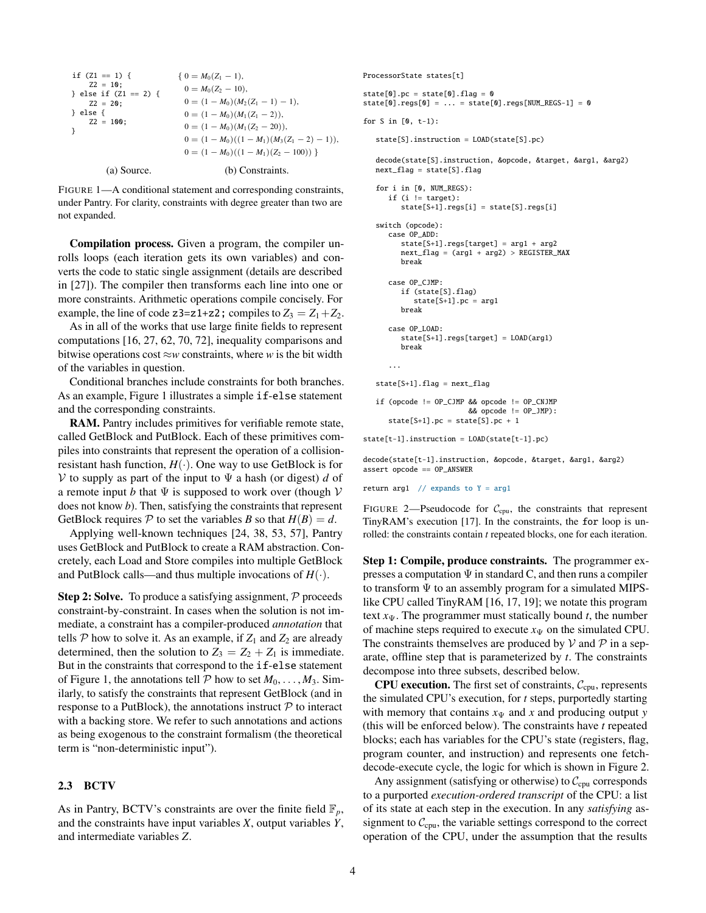<span id="page-3-1"></span>if (21 == 1) { 
$$
\{0 = M_0(Z_1 - 1),
$$
  
\n22 = 10;  
\n} else if (21 == 2) { 
$$
\{0 = M_0(Z_2 - 10),
$$
  
\n22 = 20;  
\n
$$
\{22 = 20\};
$$
  
\n
$$
\{0 = (1 - M_0)(M_2(Z_1 - 1) - 1),
$$
  
\n} else { 
$$
\{0 = (1 - M_0)(M_1(Z_2 - 20)),
$$
  
\n
$$
\{0 = (1 - M_0)(1 - M_1)(M_3(Z_1 - 2) - 1)\},
$$
  
\n
$$
\{0 = (1 - M_0)((1 - M_1)(Z_2 - 100))\}
$$
  
\n
$$
\{0 = (1 - M_0)((1 - M_1)(Z_2 - 100))\}
$$
  
\n(a) Source.  
\n(b) Constraints.

FIGURE 1—A conditional statement and corresponding constraints, under Pantry. For clarity, constraints with degree greater than two are not expanded.

Compilation process. Given a program, the compiler unrolls loops (each iteration gets its own variables) and converts the code to static single assignment (details are described in [\[27\]](#page-14-39)). The compiler then transforms each line into one or more constraints. Arithmetic operations compile concisely. For example, the line of code  $z3=z1+z2$ ; compiles to  $Z_3 = Z_1 + Z_2$ .

As in all of the works that use large finite fields to represent computations [\[16,](#page-14-12) [27,](#page-14-39) [62,](#page-14-8) [70,](#page-14-32) [72\]](#page-14-36), inequality comparisons and bitwise operations cost ≈*w* constraints, where *w* is the bit width of the variables in question.

Conditional branches include constraints for both branches. As an example, Figure [1](#page-3-1) illustrates a simple if-else statement and the corresponding constraints.

RAM. Pantry includes primitives for verifiable remote state, called GetBlock and PutBlock. Each of these primitives compiles into constraints that represent the operation of a collisionresistant hash function,  $H(\cdot)$ . One way to use GetBlock is for V to supply as part of the input to  $\Psi$  a hash (or digest) *d* of a remote input *b* that  $\Psi$  is supposed to work over (though  $V$ does not know *b*). Then, satisfying the constraints that represent GetBlock requires  $P$  to set the variables *B* so that  $H(B) = d$ .

Applying well-known techniques [\[24,](#page-14-41) [38,](#page-14-42) [53,](#page-14-43) [57\]](#page-14-44), Pantry uses GetBlock and PutBlock to create a RAM abstraction. Concretely, each Load and Store compiles into multiple GetBlock and PutBlock calls—and thus multiple invocations of  $H(\cdot)$ .

Step 2: Solve. To produce a satisfying assignment,  $P$  proceeds constraint-by-constraint. In cases when the solution is not immediate, a constraint has a compiler-produced *annotation* that tells  $P$  how to solve it. As an example, if  $Z_1$  and  $Z_2$  are already determined, then the solution to  $Z_3 = Z_2 + Z_1$  is immediate. But in the constraints that correspond to the if-else statement of Figure [1,](#page-3-1) the annotations tell  $P$  how to set  $M_0, \ldots, M_3$ . Similarly, to satisfy the constraints that represent GetBlock (and in response to a PutBlock), the annotations instruct  $P$  to interact with a backing store. We refer to such annotations and actions as being exogenous to the constraint formalism (the theoretical term is "non-deterministic input").

## <span id="page-3-0"></span>2.3 BCTV

As in Pantry, BCTV's constraints are over the finite field  $\mathbb{F}_p$ , and the constraints have input variables *X*, output variables *Y*, and intermediate variables *Z*.

<span id="page-3-2"></span>ProcessorState states[t]

 $state[0].pc = state[0].flag = 0$  $state[0].regs[0] = ... = state[0].regs[NUM\_REGS-1] = 0$ 

```
for S in [0, t-1):
```
state[S].instruction = LOAD(state[S].pc)

decode(state[S].instruction, &opcode, &target, &arg1, &arg2) next\_flag = state[S].flag

```
for i in [0, NUM_REGS):
   if (i != target):
      state[S+1].regs[i] = state[S].regs[i]
switch (opcode):
  case OP_ADD:
     state[S+1].regs[target] = arg1 + arg2
```

```
next\_flag = (arg1 + arg2) > REGISTER\_MAXbreak
case OP_CJMP:
   if (state[S].flag)
     state[S+1].pc = arg1break
case OP_LOAD:
  state[S+1].regs[target] = LOAD(arg1)
  break
```
state[S+1].flag = next\_flag

...

if (opcode != OP\_CJMP && opcode != OP\_CNJMP  $&$  opcode  $!=$  OP\_JMP $):$ state[S+1].pc = state[S].pc + 1

state[t-1].instruction = LOAD(state[t-1].pc)

decode(state[t-1].instruction, &opcode, &target, &arg1, &arg2) assert opcode  $==$  OP ANSWER

return arg1 // expands to  $Y = \text{arcl}$ 

FIGURE 2—Pseudocode for  $C_{\text{cpu}}$ , the constraints that represent TinyRAM's execution [\[17\]](#page-14-35). In the constraints, the for loop is unrolled: the constraints contain *t* repeated blocks, one for each iteration.

Step 1: Compile, produce constraints. The programmer expresses a computation  $\Psi$  in standard C, and then runs a compiler to transform  $\Psi$  to an assembly program for a simulated MIPSlike CPU called TinyRAM [\[16,](#page-14-12) [17,](#page-14-35) [19\]](#page-14-13); we notate this program text  $x_{\Psi}$ . The programmer must statically bound *t*, the number of machine steps required to execute  $x_{\Psi}$  on the simulated CPU. The constraints themselves are produced by  $V$  and  $\mathcal P$  in a separate, offline step that is parameterized by *t*. The constraints decompose into three subsets, described below.

CPU execution. The first set of constraints,  $C_{\text{cpu}}$ , represents the simulated CPU's execution, for *t* steps, purportedly starting with memory that contains  $x_{\Psi}$  and *x* and producing output *y* (this will be enforced below). The constraints have *t* repeated blocks; each has variables for the CPU's state (registers, flag, program counter, and instruction) and represents one fetchdecode-execute cycle, the logic for which is shown in Figure [2.](#page-3-2)

Any assignment (satisfying or otherwise) to  $\mathcal{C}_{\text{cpu}}$  corresponds to a purported *execution-ordered transcript* of the CPU: a list of its state at each step in the execution. In any *satisfying* assignment to  $\mathcal{C}_{\text{cpu}}$ , the variable settings correspond to the correct operation of the CPU, under the assumption that the results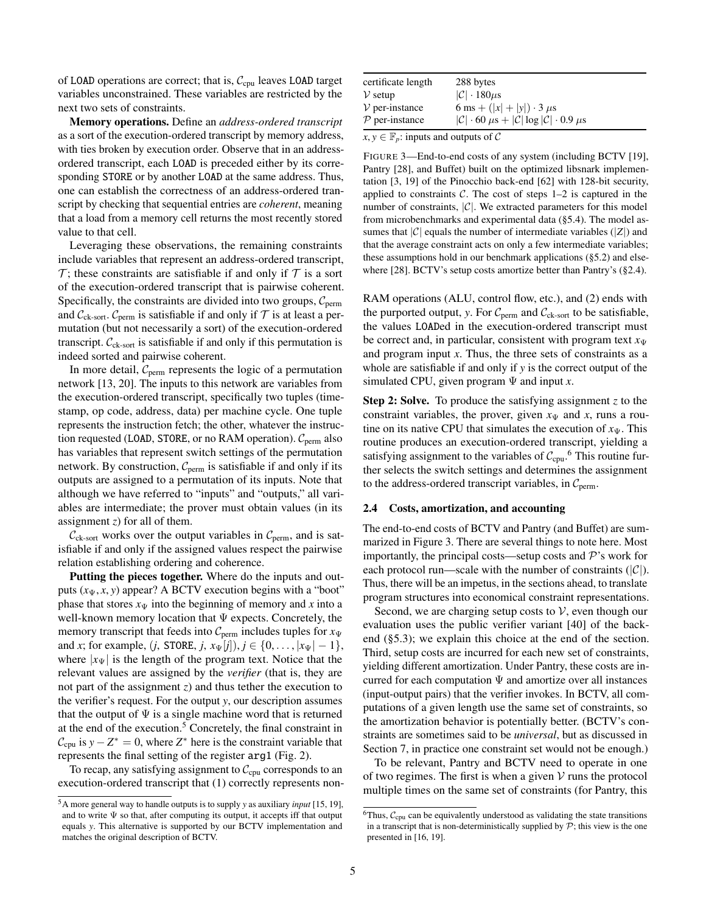of LOAD operations are correct; that is,  $C_{\text{cpu}}$  leaves LOAD target variables unconstrained. These variables are restricted by the next two sets of constraints.

Memory operations. Define an *address-ordered transcript* as a sort of the execution-ordered transcript by memory address, with ties broken by execution order. Observe that in an addressordered transcript, each LOAD is preceded either by its corresponding STORE or by another LOAD at the same address. Thus, one can establish the correctness of an address-ordered transcript by checking that sequential entries are *coherent*, meaning that a load from a memory cell returns the most recently stored value to that cell.

Leveraging these observations, the remaining constraints include variables that represent an address-ordered transcript,  $\mathcal T$ ; these constraints are satisfiable if and only if  $\mathcal T$  is a sort of the execution-ordered transcript that is pairwise coherent. Specifically, the constraints are divided into two groups,  $C_{\text{perm}}$ and  $\mathcal{C}_{ck-sort}$ .  $\mathcal{C}_{perm}$  is satisfiable if and only if  $\mathcal T$  is at least a permutation (but not necessarily a sort) of the execution-ordered transcript.  $C_{ck-sort}$  is satisfiable if and only if this permutation is indeed sorted and pairwise coherent.

In more detail,  $C_{perm}$  represents the logic of a permutation network [\[13,](#page-13-7) [20\]](#page-14-45). The inputs to this network are variables from the execution-ordered transcript, specifically two tuples (timestamp, op code, address, data) per machine cycle. One tuple represents the instruction fetch; the other, whatever the instruction requested (LOAD, STORE, or no RAM operation).  $C_{\text{perm}}$  also has variables that represent switch settings of the permutation network. By construction,  $C_{\text{perm}}$  is satisfiable if and only if its outputs are assigned to a permutation of its inputs. Note that although we have referred to "inputs" and "outputs," all variables are intermediate; the prover must obtain values (in its assignment *z*) for all of them.

 $C_{ck-sort}$  works over the output variables in  $C_{perm}$ , and is satisfiable if and only if the assigned values respect the pairwise relation establishing ordering and coherence.

Putting the pieces together. Where do the inputs and outputs  $(x_{\Psi}, x, y)$  appear? A BCTV execution begins with a "boot" phase that stores  $x_{\Psi}$  into the beginning of memory and x into a well-known memory location that Ψ expects. Concretely, the memory transcript that feeds into  $C_{\text{perm}}$  includes tuples for  $x_{\Psi}$ and *x*; for example, (*j*, STORE, *j*,  $x_{\Psi}[j]$ ),  $j \in \{0, ..., |x_{\Psi}|-1\}$ , where  $|x_{\Psi}|$  is the length of the program text. Notice that the relevant values are assigned by the *verifier* (that is, they are not part of the assignment *z*) and thus tether the execution to the verifier's request. For the output *y*, our description assumes that the output of  $\Psi$  is a single machine word that is returned at the end of the execution.<sup>5</sup> Concretely, the final constraint in  $\mathcal{C}_{\text{cpu}}$  is  $y - Z^* = 0$ , where  $Z^*$  here is the constraint variable that represents the final setting of the register arg1 (Fig. [2\)](#page-3-2).

To recap, any satisfying assignment to  $C_{\text{cpu}}$  corresponds to an execution-ordered transcript that (1) correctly represents non-

<span id="page-4-1"></span>

| certificate length<br>$\mathcal V$ setup | 288 bytes<br>$ \mathcal{C}  \cdot 180 \mu s$                                      |
|------------------------------------------|-----------------------------------------------------------------------------------|
| $\nu$ per-instance                       | 6 ms + $( x  +  y ) \cdot 3 \mu s$                                                |
| $P$ per-instance                         | $ \mathcal{C}  \cdot 60 \mu s +  \mathcal{C}  \log  \mathcal{C}  \cdot 0.9 \mu s$ |

 $x, y \in \mathbb{F}_n$ : inputs and outputs of C

FIGURE 3—End-to-end costs of any system (including BCTV [\[19\]](#page-14-13), Pantry [\[28\]](#page-14-14), and Buffet) built on the optimized libsnark implementation [\[3,](#page-13-6) [19\]](#page-14-13) of the Pinocchio back-end [\[62\]](#page-14-8) with 128-bit security, applied to constraints  $C$ . The cost of steps 1–2 is captured in the number of constraints,  $|\mathcal{C}|$ . We extracted parameters for this model from microbenchmarks and experimental data ([§5.4\)](#page-10-0). The model assumes that  $|C|$  equals the number of intermediate variables  $(|Z|)$  and that the average constraint acts on only a few intermediate variables; these assumptions hold in our benchmark applications ([§5.2\)](#page-10-1) and elsewhere [\[28\]](#page-14-14). BCTV's setup costs amortize better than Pantry's ([§2.4\)](#page-4-0).

RAM operations (ALU, control flow, etc.), and (2) ends with the purported output, *y*. For  $C_{perm}$  and  $C_{ck-sort}$  to be satisfiable, the values LOADed in the execution-ordered transcript must be correct and, in particular, consistent with program text  $x_{\Psi}$ and program input *x*. Thus, the three sets of constraints as a whole are satisfiable if and only if *y* is the correct output of the simulated CPU, given program  $\Psi$  and input *x*.

Step 2: Solve. To produce the satisfying assignment *z* to the constraint variables, the prover, given  $x_{\Psi}$  and x, runs a routine on its native CPU that simulates the execution of  $x_{\Psi}$ . This routine produces an execution-ordered transcript, yielding a satisfying assignment to the variables of  $C_{\text{cpu}}$ . <sup>6</sup> This routine further selects the switch settings and determines the assignment to the address-ordered transcript variables, in  $C_{\text{perm}}$ .

#### <span id="page-4-0"></span>2.4 Costs, amortization, and accounting

The end-to-end costs of BCTV and Pantry (and Buffet) are summarized in Figure [3.](#page-4-1) There are several things to note here. Most importantly, the principal costs—setup costs and  $\mathcal{P}$ 's work for each protocol run—scale with the number of constraints  $(|\mathcal{C}|)$ . Thus, there will be an impetus, in the sections ahead, to translate program structures into economical constraint representations.

Second, we are charging setup costs to  $\mathcal V$ , even though our evaluation uses the public verifier variant [\[40\]](#page-14-17) of the backend ([§5.3\)](#page-10-2); we explain this choice at the end of the section. Third, setup costs are incurred for each new set of constraints, yielding different amortization. Under Pantry, these costs are incurred for each computation  $\Psi$  and amortize over all instances (input-output pairs) that the verifier invokes. In BCTV, all computations of a given length use the same set of constraints, so the amortization behavior is potentially better. (BCTV's constraints are sometimes said to be *universal*, but as discussed in Section [7,](#page-13-5) in practice one constraint set would not be enough.)

To be relevant, Pantry and BCTV need to operate in one of two regimes. The first is when a given  $V$  runs the protocol multiple times on the same set of constraints (for Pantry, this

<sup>5</sup>A more general way to handle outputs is to supply *y* as auxiliary *input* [\[15,](#page-14-34) [19\]](#page-14-13), and to write  $\Psi$  so that, after computing its output, it accepts iff that output equals *y*. This alternative is supported by our BCTV implementation and matches the original description of BCTV.

<sup>&</sup>lt;sup>6</sup>Thus,  $\mathcal{C}_{\text{cpu}}$  can be equivalently understood as validating the state transitions in a transcript that is non-deterministically supplied by  $P$ ; this view is the one presented in [\[16,](#page-14-12) [19\]](#page-14-13).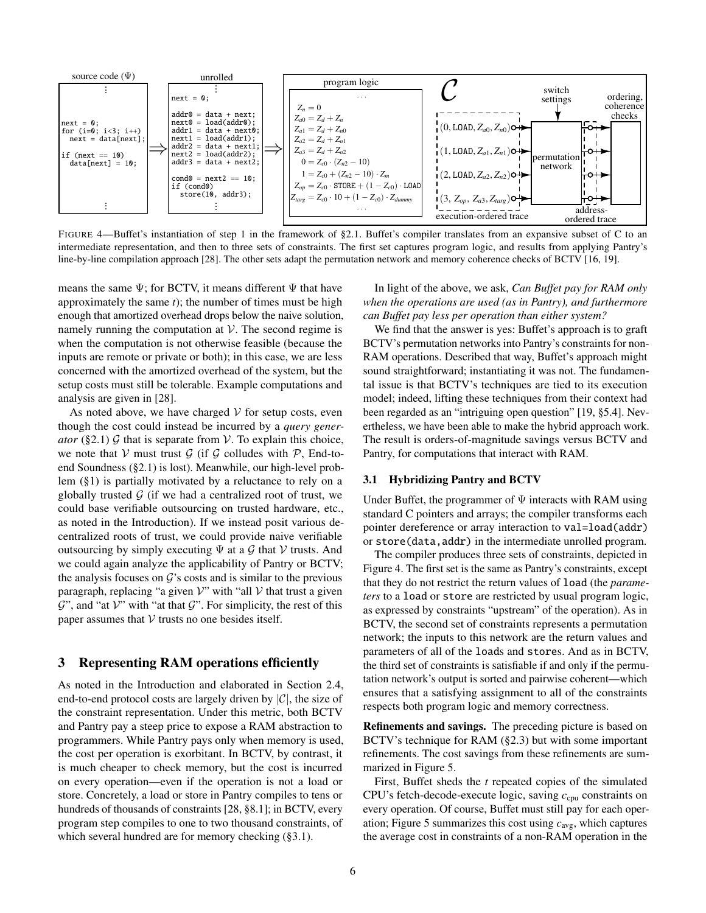<span id="page-5-2"></span>

FIGURE 4—Buffet's instantiation of step 1 in the framework of [§2.1.](#page-2-1) Buffet's compiler translates from an expansive subset of C to an intermediate representation, and then to three sets of constraints. The first set captures program logic, and results from applying Pantry's line-by-line compilation approach [\[28\]](#page-14-14). The other sets adapt the permutation network and memory coherence checks of BCTV [\[16,](#page-14-12) [19\]](#page-14-13).

means the same  $\Psi$ ; for BCTV, it means different  $\Psi$  that have approximately the same *t*); the number of times must be high enough that amortized overhead drops below the naive solution, namely running the computation at  $V$ . The second regime is when the computation is not otherwise feasible (because the inputs are remote or private or both); in this case, we are less concerned with the amortized overhead of the system, but the setup costs must still be tolerable. Example computations and analysis are given in [\[28\]](#page-14-14).

As noted above, we have charged  $V$  for setup costs, even though the cost could instead be incurred by a *query generator* ([§2.1\)](#page-2-1) G that is separate from V. To explain this choice, we note that V must trust  $G$  (if  $G$  colludes with  $P$ , End-toend Soundness ([§2.1\)](#page-2-1) is lost). Meanwhile, our high-level problem ([§1\)](#page-0-0) is partially motivated by a reluctance to rely on a globally trusted  $\mathcal G$  (if we had a centralized root of trust, we could base verifiable outsourcing on trusted hardware, etc., as noted in the Introduction). If we instead posit various decentralized roots of trust, we could provide naive verifiable outsourcing by simply executing  $\Psi$  at a G that V trusts. And we could again analyze the applicability of Pantry or BCTV; the analysis focuses on  $\mathcal{G}$ 's costs and is similar to the previous paragraph, replacing "a given  $V$ " with "all  $V$  that trust a given  $\mathcal{G}$ ", and "at  $\mathcal{V}$ " with "at that  $\mathcal{G}$ ". For simplicity, the rest of this paper assumes that  $V$  trusts no one besides itself.

## <span id="page-5-0"></span>3 Representing RAM operations efficiently

As noted in the Introduction and elaborated in Section [2.4,](#page-4-0) end-to-end protocol costs are largely driven by  $|\mathcal{C}|$ , the size of the constraint representation. Under this metric, both BCTV and Pantry pay a steep price to expose a RAM abstraction to programmers. While Pantry pays only when memory is used, the cost per operation is exorbitant. In BCTV, by contrast, it is much cheaper to check memory, but the cost is incurred on every operation—even if the operation is not a load or store. Concretely, a load or store in Pantry compiles to tens or hundreds of thousands of constraints [\[28,](#page-14-14) §8.1]; in BCTV, every program step compiles to one to two thousand constraints, of which several hundred are for memory checking ([§3.1\)](#page-5-1).

In light of the above, we ask, *Can Buffet pay for RAM only when the operations are used (as in Pantry), and furthermore can Buffet pay less per operation than either system?*

We find that the answer is yes: Buffet's approach is to graft BCTV's permutation networks into Pantry's constraints for non-RAM operations. Described that way, Buffet's approach might sound straightforward; instantiating it was not. The fundamental issue is that BCTV's techniques are tied to its execution model; indeed, lifting these techniques from their context had been regarded as an "intriguing open question" [\[19,](#page-14-13) §5.4]. Nevertheless, we have been able to make the hybrid approach work. The result is orders-of-magnitude savings versus BCTV and Pantry, for computations that interact with RAM.

#### <span id="page-5-1"></span>3.1 Hybridizing Pantry and BCTV

Under Buffet, the programmer of  $\Psi$  interacts with RAM using standard C pointers and arrays; the compiler transforms each pointer dereference or array interaction to val=load(addr) or store(data,addr) in the intermediate unrolled program.

The compiler produces three sets of constraints, depicted in Figure [4.](#page-5-2) The first set is the same as Pantry's constraints, except that they do not restrict the return values of load (the *parameters* to a load or store are restricted by usual program logic, as expressed by constraints "upstream" of the operation). As in BCTV, the second set of constraints represents a permutation network; the inputs to this network are the return values and parameters of all of the loads and stores. And as in BCTV, the third set of constraints is satisfiable if and only if the permutation network's output is sorted and pairwise coherent—which ensures that a satisfying assignment to all of the constraints respects both program logic and memory correctness.

Refinements and savings. The preceding picture is based on BCTV's technique for RAM ([§2.3\)](#page-3-0) but with some important refinements. The cost savings from these refinements are summarized in Figure [5.](#page-6-0)

First, Buffet sheds the *t* repeated copies of the simulated CPU's fetch-decode-execute logic, saving *c*cpu constraints on every operation. Of course, Buffet must still pay for each operation; Figure [5](#page-6-0) summarizes this cost using *c*avg, which captures the average cost in constraints of a non-RAM operation in the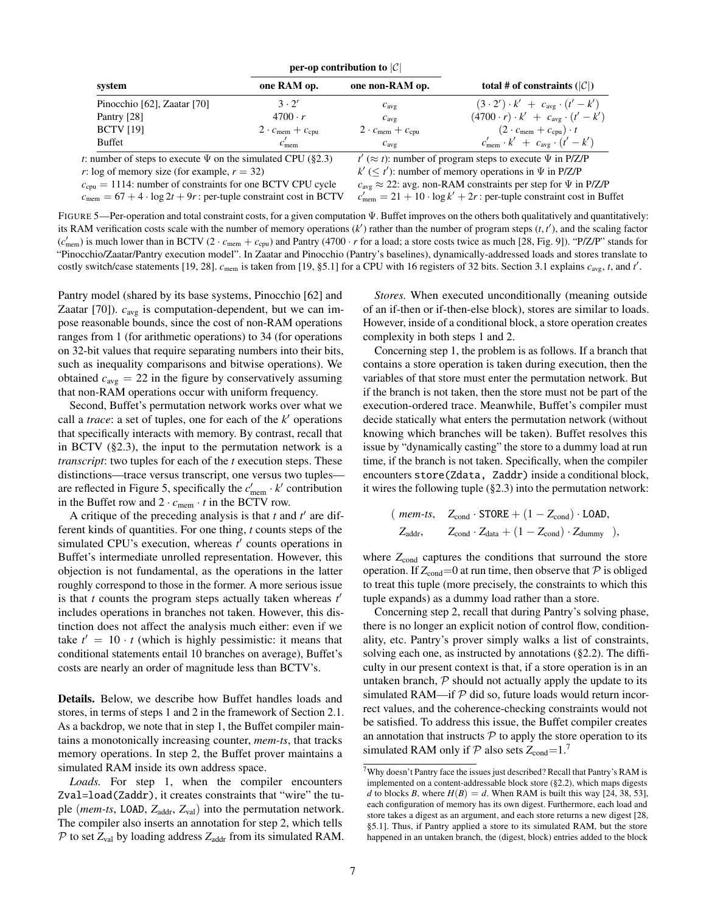<span id="page-6-0"></span>per-op contribution to  $|\mathcal{C}|$ system  $\qquad \qquad \text{one RAM op.}$  one non-RAM op. total # of constraints  $(|C|)$ Pinocchio [\[62\]](#page-14-8), Zaatar [\[70\]](#page-14-32)  $3 \cdot 2^r$  $c_{\text{avg}}$   $(3 \cdot 2^r) \cdot k^{\prime} + c_{\text{avg}} \cdot (t^{\prime} - k^{\prime})$ Pantry [\[28\]](#page-14-14)  $4700 \cdot r$   $c_{\text{avg}}$   $(4700 \cdot r) \cdot k' + c_{\text{avg}} \cdot (t'-k')$  $BCTV$  [\[19\]](#page-14-13)  $2 \cdot c_{mem} + c_{cpu}$   $2 \cdot c_{mem} + c_{cpu}$   $(2 \cdot c_{mem} + c_{cpu}) \cdot t$ Buffet *c*  $c'_{\text{mem}}$  $c$ <sub>avg</sub>  $c$ <sub>avg</sub>  $c$  $\int_{\text{mem}}^{\prime} \cdot k' + c_{\text{avg}} \cdot (t' - k')$ *t*: number of steps to execute  $\Psi$  on the simulated CPU ([§2.3\)](#page-3-0)  $\prime$  ( $\approx$  *t*): number of program steps to execute  $\Psi$  in P/Z/P *r*: log of memory size (for example,  $r = 32$ )  $\forall$  ( $\leq t$ ): number of memory operations in  $\Psi$  in P/Z/P  $c_{\text{cpu}} = 1114$ : number of constraints for one BCTV CPU cycle  $c_{\text{avg}} \approx 22$ : avg. non-RAM constraints per step for  $\Psi$  in P/Z/P  $c_{\text{mem}} = 67 + 4 \cdot \log 2t + 9r$ : per-tuple constraint cost in BCTV  $\gamma'_{\text{mem}} = 21 + 10 \cdot \log k' + 2r$ : per-tuple constraint cost in Buffet

FIGURE 5—Per-operation and total constraint costs, for a given computation Ψ. Buffet improves on the others both qualitatively and quantitatively: its RAM verification costs scale with the number of memory operations  $(k')$  rather than the number of program steps  $(t, t')$ , and the scaling factor  $(c'_{mem})$  is much lower than in BCTV (2 ·  $c_{mem} + c_{cpu}$ ) and Pantry (4700 · *r* for a load; a store costs twice as much [\[28,](#page-14-14) Fig. 9]). "P/Z/P" stands for "Pinocchio/Zaatar/Pantry execution model". In Zaatar and Pinocchio (Pantry's baselines), dynamically-addressed loads and stores translate to costly switch/case statements [\[19,](#page-14-13) [28\]](#page-14-14).  $c_{\text{mem}}$  is taken from [19, §5.1] for a CPU with 16 registers of 32 bits. Section [3.1](#page-5-1) explains  $c_{\text{avg}}$ , *t*, and *t'*.

Pantry model (shared by its base systems, Pinocchio [\[62\]](#page-14-8) and Zaatar [\[70\]](#page-14-32)).  $c_{avg}$  is computation-dependent, but we can impose reasonable bounds, since the cost of non-RAM operations ranges from 1 (for arithmetic operations) to 34 (for operations on 32-bit values that require separating numbers into their bits, such as inequality comparisons and bitwise operations). We obtained  $c_{avg} = 22$  in the figure by conservatively assuming that non-RAM operations occur with uniform frequency.

Second, Buffet's permutation network works over what we call a *trace*: a set of tuples, one for each of the *k* ′ operations that specifically interacts with memory. By contrast, recall that in BCTV ([§2.3\)](#page-3-0), the input to the permutation network is a *transcript*: two tuples for each of the *t* execution steps. These distinctions—trace versus transcript, one versus two tuples— are reflected in Figure [5,](#page-6-0) specifically the  $c'_{\text{mem}} \cdot k'$  contribution in the Buffet row and  $2 \cdot c_{\text{mem}} \cdot t$  in the BCTV row.

A critique of the preceding analysis is that  $t$  and  $t'$  are different kinds of quantities. For one thing, *t* counts steps of the simulated CPU's execution, whereas  $t'$  counts operations in Buffet's intermediate unrolled representation. However, this objection is not fundamental, as the operations in the latter roughly correspond to those in the former. A more serious issue is that *t* counts the program steps actually taken whereas *t* ′ includes operations in branches not taken. However, this distinction does not affect the analysis much either: even if we take  $t' = 10 \cdot t$  (which is highly pessimistic: it means that conditional statements entail 10 branches on average), Buffet's costs are nearly an order of magnitude less than BCTV's.

Details. Below, we describe how Buffet handles loads and stores, in terms of steps 1 and 2 in the framework of Section [2.1.](#page-2-1) As a backdrop, we note that in step 1, the Buffet compiler maintains a monotonically increasing counter, *mem-ts*, that tracks memory operations. In step 2, the Buffet prover maintains a simulated RAM inside its own address space.

*Loads.* For step 1, when the compiler encounters Zval=load(Zaddr), it creates constraints that "wire" the tuple (*mem-ts*, LOAD,  $Z_{\text{addr}}$ ,  $Z_{\text{val}}$ ) into the permutation network. The compiler also inserts an annotation for step 2, which tells  $P$  to set  $Z_{val}$  by loading address  $Z_{addr}$  from its simulated RAM.

*Stores.* When executed unconditionally (meaning outside of an if-then or if-then-else block), stores are similar to loads. However, inside of a conditional block, a store operation creates complexity in both steps 1 and 2.

Concerning step 1, the problem is as follows. If a branch that contains a store operation is taken during execution, then the variables of that store must enter the permutation network. But if the branch is not taken, then the store must not be part of the execution-ordered trace. Meanwhile, Buffet's compiler must decide statically what enters the permutation network (without knowing which branches will be taken). Buffet resolves this issue by "dynamically casting" the store to a dummy load at run time, if the branch is not taken. Specifically, when the compiler encounters store(Zdata, Zaddr) inside a conditional block, it wires the following tuple ([§2.3\)](#page-3-0) into the permutation network:

$$
(\text{mem-ts}, \quad Z_{\text{cond}} \cdot \text{STORE} + (1 - Z_{\text{cond}}) \cdot \text{LOAD},
$$

$$
Z_{\text{addr}}, \qquad Z_{\text{cond}} \cdot Z_{\text{data}} + (1 - Z_{\text{cond}}) \cdot Z_{\text{dummy}}),
$$

where  $Z_{\text{cond}}$  captures the conditions that surround the store operation. If  $Z_{cond}=0$  at run time, then observe that  $P$  is obliged to treat this tuple (more precisely, the constraints to which this tuple expands) as a dummy load rather than a store.

Concerning step 2, recall that during Pantry's solving phase, there is no longer an explicit notion of control flow, conditionality, etc. Pantry's prover simply walks a list of constraints, solving each one, as instructed by annotations ([§2.2\)](#page-2-0). The difficulty in our present context is that, if a store operation is in an untaken branch,  $\mathcal P$  should not actually apply the update to its simulated RAM—if  $P$  did so, future loads would return incorrect values, and the coherence-checking constraints would not be satisfied. To address this issue, the Buffet compiler creates an annotation that instructs  $P$  to apply the store operation to its simulated RAM only if  $P$  also sets  $Z_{\text{cond}}=1$ .<sup>7</sup>

<sup>7</sup>Why doesn't Pantry face the issues just described? Recall that Pantry's RAM is implemented on a content-addressable block store ([§2.2\)](#page-2-0), which maps digests *d* to blocks *B*, where  $H(B) = d$ . When RAM is built this way [\[24,](#page-14-41) [38,](#page-14-42) [53\]](#page-14-43), each configuration of memory has its own digest. Furthermore, each load and store takes a digest as an argument, and each store returns a new digest [\[28,](#page-14-14) §5.1]. Thus, if Pantry applied a store to its simulated RAM, but the store happened in an untaken branch, the (digest, block) entries added to the block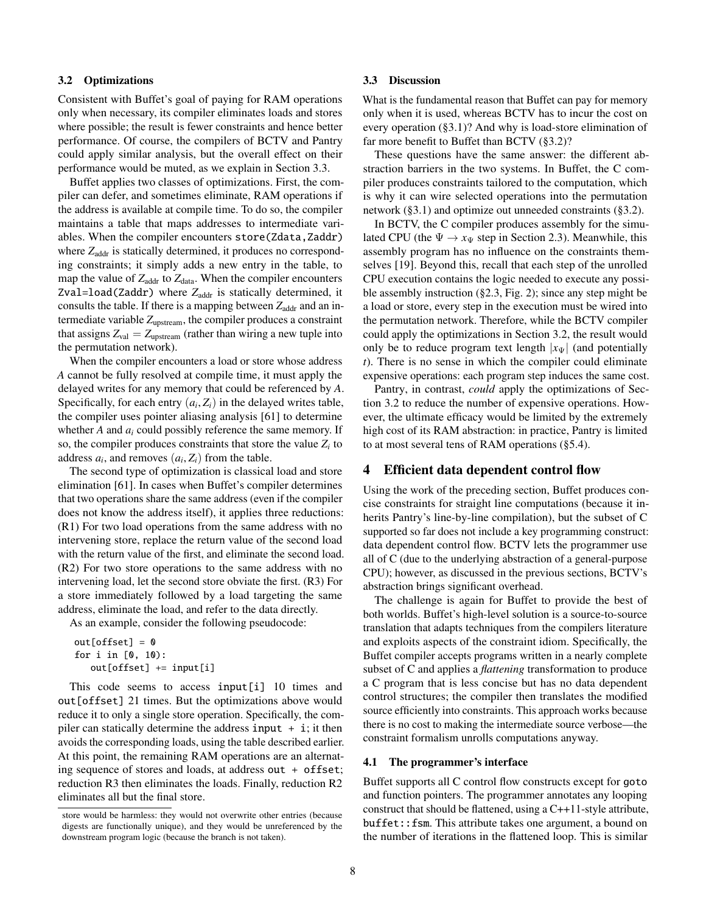#### <span id="page-7-2"></span>3.2 Optimizations

Consistent with Buffet's goal of paying for RAM operations only when necessary, its compiler eliminates loads and stores where possible; the result is fewer constraints and hence better performance. Of course, the compilers of BCTV and Pantry could apply similar analysis, but the overall effect on their performance would be muted, as we explain in Section [3.3.](#page-7-1)

Buffet applies two classes of optimizations. First, the compiler can defer, and sometimes eliminate, RAM operations if the address is available at compile time. To do so, the compiler maintains a table that maps addresses to intermediate variables. When the compiler encounters store(Zdata,Zaddr) where  $Z_{\text{addr}}$  is statically determined, it produces no corresponding constraints; it simply adds a new entry in the table, to map the value of  $Z_{\text{addr}}$  to  $Z_{\text{data}}$ . When the compiler encounters Zval=load(Zaddr) where Z<sub>addr</sub> is statically determined, it consults the table. If there is a mapping between  $Z_{\text{addr}}$  and an intermediate variable  $Z_{\text{upstream}}$ , the compiler produces a constraint that assigns  $Z_{val} = Z_{upstream}$  (rather than wiring a new tuple into the permutation network).

When the compiler encounters a load or store whose address *A* cannot be fully resolved at compile time, it must apply the delayed writes for any memory that could be referenced by *A*. Specifically, for each entry  $(a_i, Z_i)$  in the delayed writes table, the compiler uses pointer aliasing analysis [\[61\]](#page-14-46) to determine whether *A* and *a<sup>i</sup>* could possibly reference the same memory. If so, the compiler produces constraints that store the value  $Z_i$  to address  $a_i$ , and removes  $(a_i, Z_i)$  from the table.

The second type of optimization is classical load and store elimination [\[61\]](#page-14-46). In cases when Buffet's compiler determines that two operations share the same address (even if the compiler does not know the address itself), it applies three reductions: (R1) For two load operations from the same address with no intervening store, replace the return value of the second load with the return value of the first, and eliminate the second load. (R2) For two store operations to the same address with no intervening load, let the second store obviate the first. (R3) For a store immediately followed by a load targeting the same address, eliminate the load, and refer to the data directly.

As an example, consider the following pseudocode:

```
out[offset] = 0for i in [0, 10):
  out[offset] += input[i]
```
This code seems to access input[i] 10 times and out[offset] 21 times. But the optimizations above would reduce it to only a single store operation. Specifically, the compiler can statically determine the address input  $+$  i; it then avoids the corresponding loads, using the table described earlier. At this point, the remaining RAM operations are an alternating sequence of stores and loads, at address out + offset; reduction R3 then eliminates the loads. Finally, reduction R2 eliminates all but the final store.

#### <span id="page-7-1"></span>3.3 Discussion

What is the fundamental reason that Buffet can pay for memory only when it is used, whereas BCTV has to incur the cost on every operation ([§3.1\)](#page-5-1)? And why is load-store elimination of far more benefit to Buffet than BCTV ([§3.2\)](#page-7-2)?

These questions have the same answer: the different abstraction barriers in the two systems. In Buffet, the C compiler produces constraints tailored to the computation, which is why it can wire selected operations into the permutation network ([§3.1\)](#page-5-1) and optimize out unneeded constraints ([§3.2\)](#page-7-2).

In BCTV, the C compiler produces assembly for the simulated CPU (the  $\Psi \to x_{\Psi}$  step in Section [2.3\)](#page-3-0). Meanwhile, this assembly program has no influence on the constraints themselves [\[19\]](#page-14-13). Beyond this, recall that each step of the unrolled CPU execution contains the logic needed to execute any possible assembly instruction ([§2.3,](#page-3-0) Fig. [2\)](#page-3-2); since any step might be a load or store, every step in the execution must be wired into the permutation network. Therefore, while the BCTV compiler could apply the optimizations in Section [3.2,](#page-7-2) the result would only be to reduce program text length  $|x_{\Psi}|$  (and potentially *t*). There is no sense in which the compiler could eliminate expensive operations: each program step induces the same cost.

Pantry, in contrast, *could* apply the optimizations of Section [3.2](#page-7-2) to reduce the number of expensive operations. However, the ultimate efficacy would be limited by the extremely high cost of its RAM abstraction: in practice, Pantry is limited to at most several tens of RAM operations ([§5.4\)](#page-11-0).

## <span id="page-7-0"></span>4 Efficient data dependent control flow

Using the work of the preceding section, Buffet produces concise constraints for straight line computations (because it inherits Pantry's line-by-line compilation), but the subset of C supported so far does not include a key programming construct: data dependent control flow. BCTV lets the programmer use all of C (due to the underlying abstraction of a general-purpose CPU); however, as discussed in the previous sections, BCTV's abstraction brings significant overhead.

The challenge is again for Buffet to provide the best of both worlds. Buffet's high-level solution is a source-to-source translation that adapts techniques from the compilers literature and exploits aspects of the constraint idiom. Specifically, the Buffet compiler accepts programs written in a nearly complete subset of C and applies a *flattening* transformation to produce a C program that is less concise but has no data dependent control structures; the compiler then translates the modified source efficiently into constraints. This approach works because there is no cost to making the intermediate source verbose—the constraint formalism unrolls computations anyway.

#### <span id="page-7-3"></span>4.1 The programmer's interface

Buffet supports all C control flow constructs except for goto and function pointers. The programmer annotates any looping construct that should be flattened, using a  $C++11$ -style attribute, buffet::fsm. This attribute takes one argument, a bound on the number of iterations in the flattened loop. This is similar

store would be harmless: they would not overwrite other entries (because digests are functionally unique), and they would be unreferenced by the downstream program logic (because the branch is not taken).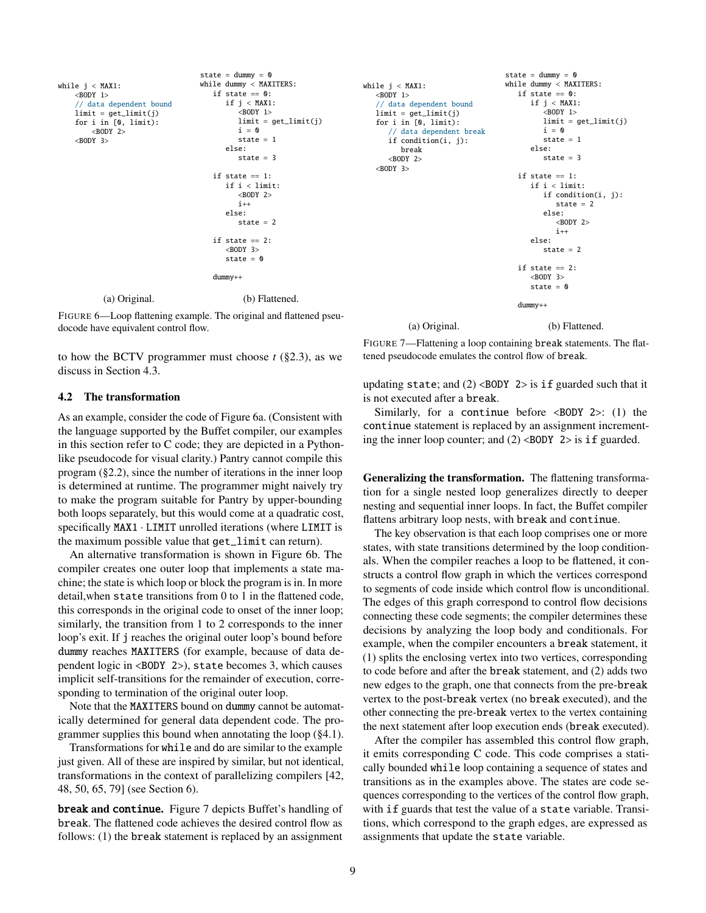<span id="page-8-0"></span>

FIGURE 6—Loop flattening example. The original and flattened pseudocode have equivalent control flow.

to how the BCTV programmer must choose *t* ([§2.3\)](#page-3-0), as we discuss in Section [4.3.](#page-9-0)

## <span id="page-8-2"></span>4.2 The transformation

As an example, consider the code of Figure [6a.](#page-8-0) (Consistent with the language supported by the Buffet compiler, our examples in this section refer to C code; they are depicted in a Pythonlike pseudocode for visual clarity.) Pantry cannot compile this program ([§2.2\)](#page-2-0), since the number of iterations in the inner loop is determined at runtime. The programmer might naively try to make the program suitable for Pantry by upper-bounding both loops separately, but this would come at a quadratic cost, specifically MAX1 · LIMIT unrolled iterations (where LIMIT is the maximum possible value that get\_limit can return).

An alternative transformation is shown in Figure [6b.](#page-8-0) The compiler creates one outer loop that implements a state machine; the state is which loop or block the program is in. In more detail,when state transitions from 0 to 1 in the flattened code, this corresponds in the original code to onset of the inner loop; similarly, the transition from 1 to 2 corresponds to the inner loop's exit. If j reaches the original outer loop's bound before dummy reaches MAXITERS (for example, because of data dependent logic in <BODY 2>), state becomes 3, which causes implicit self-transitions for the remainder of execution, corresponding to termination of the original outer loop.

Note that the MAXITERS bound on dummy cannot be automatically determined for general data dependent code. The programmer supplies this bound when annotating the loop ([§4.1\)](#page-7-3).

Transformations for while and do are similar to the example just given. All of these are inspired by similar, but not identical, transformations in the context of parallelizing compilers [\[42,](#page-14-47) [48,](#page-14-48) [50,](#page-14-49) [65,](#page-14-50) [79\]](#page-14-51) (see Section [6\)](#page-12-0).

**break and continue.** Figure [7](#page-8-1) depicts Buffet's handling of break. The flattened code achieves the desired control flow as follows: (1) the break statement is replaced by an assignment

```
while j < MAX1:
   <BODY 1>
   // data dependent bound
   limit = get\_limit(j)for i in [0, limit):
      // data dependent break
      if condition(i, j):
         break
      <BODY 2>
   <BODY 3>
                                    state = dummy = 0while dummy < MAXITERS:
                                       if state == 0:
                                          if j < MAX1:
                                              \overline{\text{<}BODY 1>
                                              limit = get\_limit(j)i = 0state = 1else:
                                              state = 3if state == 1:
                                           if i < limit:
                                              if condition(i, j):
                                                 state = 2
                                              else:
                                                 <BODY 2>
                                                 i++else:
                                              state = 2if state == 2:
                                           <BODY 3>
                                           state = \thetadummy++
```
(a) Original.

(b) Flattened.

FIGURE 7—Flattening a loop containing break statements. The flattened pseudocode emulates the control flow of break.

updating state; and  $(2)$  <BODY 2> is if guarded such that it is not executed after a break.

Similarly, for a continue before  $\langle BODY \rangle$  2>: (1) the continue statement is replaced by an assignment incrementing the inner loop counter; and  $(2)$  <br/>BODY 2> is if guarded.

Generalizing the transformation. The flattening transformation for a single nested loop generalizes directly to deeper nesting and sequential inner loops. In fact, the Buffet compiler flattens arbitrary loop nests, with break and continue.

The key observation is that each loop comprises one or more states, with state transitions determined by the loop conditionals. When the compiler reaches a loop to be flattened, it constructs a control flow graph in which the vertices correspond to segments of code inside which control flow is unconditional. The edges of this graph correspond to control flow decisions connecting these code segments; the compiler determines these decisions by analyzing the loop body and conditionals. For example, when the compiler encounters a break statement, it (1) splits the enclosing vertex into two vertices, corresponding to code before and after the break statement, and (2) adds two new edges to the graph, one that connects from the pre-break vertex to the post-break vertex (no break executed), and the other connecting the pre-break vertex to the vertex containing the next statement after loop execution ends (break executed).

After the compiler has assembled this control flow graph, it emits corresponding C code. This code comprises a statically bounded while loop containing a sequence of states and transitions as in the examples above. The states are code sequences corresponding to the vertices of the control flow graph, with if guards that test the value of a state variable. Transitions, which correspond to the graph edges, are expressed as assignments that update the state variable.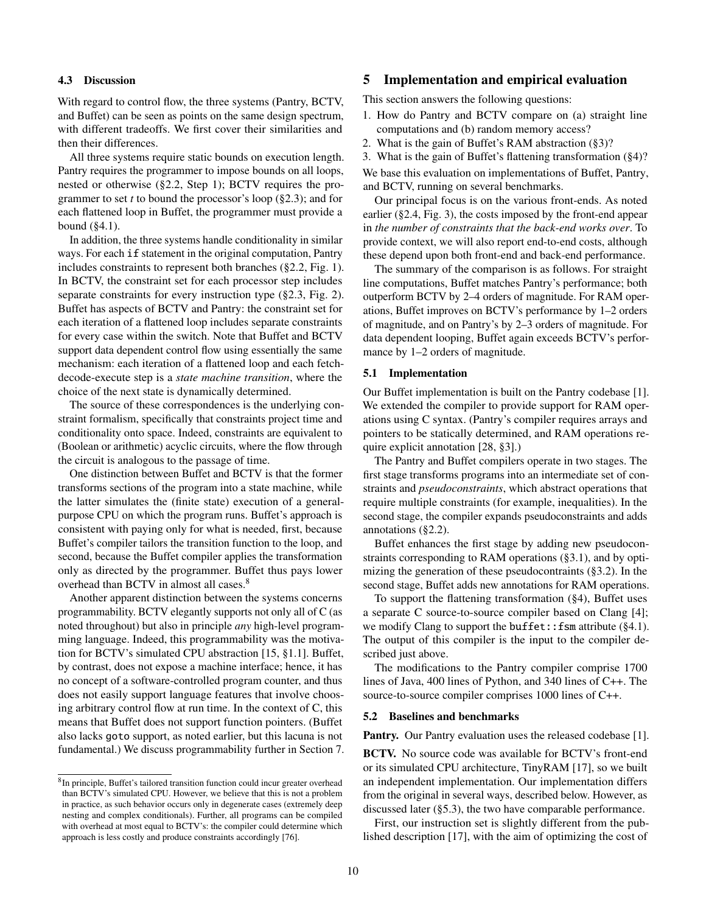#### <span id="page-9-0"></span>4.3 Discussion

With regard to control flow, the three systems (Pantry, BCTV, and Buffet) can be seen as points on the same design spectrum, with different tradeoffs. We first cover their similarities and then their differences.

All three systems require static bounds on execution length. Pantry requires the programmer to impose bounds on all loops, nested or otherwise ([§2.2,](#page-2-0) Step 1); BCTV requires the programmer to set *t* to bound the processor's loop ([§2.3\)](#page-3-0); and for each flattened loop in Buffet, the programmer must provide a bound ([§4.1\)](#page-7-3).

In addition, the three systems handle conditionality in similar ways. For each if statement in the original computation, Pantry includes constraints to represent both branches ([§2.2,](#page-2-0) Fig. [1\)](#page-3-1). In BCTV, the constraint set for each processor step includes separate constraints for every instruction type ([§2.3,](#page-3-0) Fig. [2\)](#page-3-2). Buffet has aspects of BCTV and Pantry: the constraint set for each iteration of a flattened loop includes separate constraints for every case within the switch. Note that Buffet and BCTV support data dependent control flow using essentially the same mechanism: each iteration of a flattened loop and each fetchdecode-execute step is a *state machine transition*, where the choice of the next state is dynamically determined.

The source of these correspondences is the underlying constraint formalism, specifically that constraints project time and conditionality onto space. Indeed, constraints are equivalent to (Boolean or arithmetic) acyclic circuits, where the flow through the circuit is analogous to the passage of time.

One distinction between Buffet and BCTV is that the former transforms sections of the program into a state machine, while the latter simulates the (finite state) execution of a generalpurpose CPU on which the program runs. Buffet's approach is consistent with paying only for what is needed, first, because Buffet's compiler tailors the transition function to the loop, and second, because the Buffet compiler applies the transformation only as directed by the programmer. Buffet thus pays lower overhead than BCTV in almost all cases.<sup>8</sup>

Another apparent distinction between the systems concerns programmability. BCTV elegantly supports not only all of C (as noted throughout) but also in principle *any* high-level programming language. Indeed, this programmability was the motivation for BCTV's simulated CPU abstraction [\[15,](#page-14-34) §1.1]. Buffet, by contrast, does not expose a machine interface; hence, it has no concept of a software-controlled program counter, and thus does not easily support language features that involve choosing arbitrary control flow at run time. In the context of C, this means that Buffet does not support function pointers. (Buffet also lacks goto support, as noted earlier, but this lacuna is not fundamental.) We discuss programmability further in Section [7.](#page-13-5)

## <span id="page-9-1"></span>5 Implementation and empirical evaluation

This section answers the following questions:

- 1. How do Pantry and BCTV compare on (a) straight line computations and (b) random memory access?
- 2. What is the gain of Buffet's RAM abstraction ([§3\)](#page-5-0)?

3. What is the gain of Buffet's flattening transformation ([§4\)](#page-7-0)? We base this evaluation on implementations of Buffet, Pantry, and BCTV, running on several benchmarks.

Our principal focus is on the various front-ends. As noted earlier ([§2.4,](#page-4-0) Fig. [3\)](#page-4-1), the costs imposed by the front-end appear in *the number of constraints that the back-end works over*. To provide context, we will also report end-to-end costs, although these depend upon both front-end and back-end performance.

The summary of the comparison is as follows. For straight line computations, Buffet matches Pantry's performance; both outperform BCTV by 2–4 orders of magnitude. For RAM operations, Buffet improves on BCTV's performance by 1–2 orders of magnitude, and on Pantry's by 2–3 orders of magnitude. For data dependent looping, Buffet again exceeds BCTV's performance by 1–2 orders of magnitude.

#### <span id="page-9-2"></span>5.1 Implementation

Our Buffet implementation is built on the Pantry codebase [\[1\]](#page-13-8). We extended the compiler to provide support for RAM operations using C syntax. (Pantry's compiler requires arrays and pointers to be statically determined, and RAM operations require explicit annotation [\[28,](#page-14-14) §3].)

The Pantry and Buffet compilers operate in two stages. The first stage transforms programs into an intermediate set of constraints and *pseudoconstraints*, which abstract operations that require multiple constraints (for example, inequalities). In the second stage, the compiler expands pseudoconstraints and adds annotations ([§2.2\)](#page-2-0).

Buffet enhances the first stage by adding new pseudoconstraints corresponding to RAM operations ([§3.1\)](#page-5-1), and by optimizing the generation of these pseudocontraints ([§3.2\)](#page-7-2). In the second stage, Buffet adds new annotations for RAM operations.

To support the flattening transformation ([§4\)](#page-7-0), Buffet uses a separate C source-to-source compiler based on Clang [\[4\]](#page-13-9); we modify Clang to support the buffet::fsm attribute ([§4.1\)](#page-7-3). The output of this compiler is the input to the compiler described just above.

The modifications to the Pantry compiler comprise 1700 lines of Java, 400 lines of Python, and 340 lines of C++. The source-to-source compiler comprises 1000 lines of C++.

### <span id="page-9-3"></span>5.2 Baselines and benchmarks

Pantry. Our Pantry evaluation uses the released codebase [\[1\]](#page-13-8).

BCTV. No source code was available for BCTV's front-end or its simulated CPU architecture, TinyRAM [\[17\]](#page-14-35), so we built an independent implementation. Our implementation differs from the original in several ways, described below. However, as discussed later ([§5.3\)](#page-10-3), the two have comparable performance.

First, our instruction set is slightly different from the published description [\[17\]](#page-14-35), with the aim of optimizing the cost of

<sup>&</sup>lt;sup>8</sup>In principle, Buffet's tailored transition function could incur greater overhead than BCTV's simulated CPU. However, we believe that this is not a problem in practice, as such behavior occurs only in degenerate cases (extremely deep nesting and complex conditionals). Further, all programs can be compiled with overhead at most equal to BCTV's: the compiler could determine which approach is less costly and produce constraints accordingly [\[76\]](#page-14-10).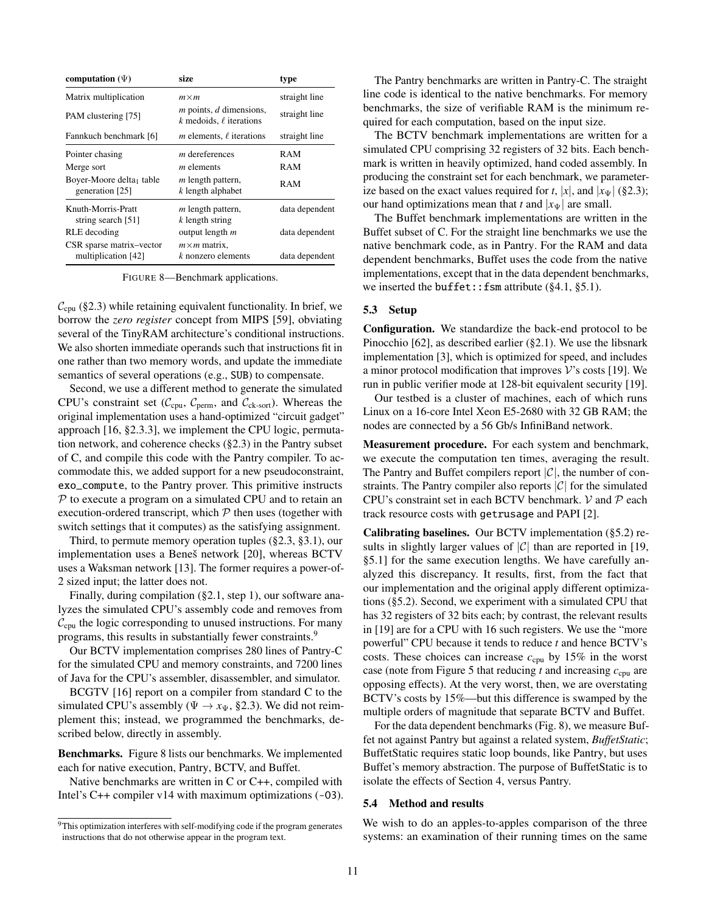<span id="page-10-4"></span>

| computation $(\Psi)$                                    | size                                                        | type           |  |
|---------------------------------------------------------|-------------------------------------------------------------|----------------|--|
| Matrix multiplication                                   | $m \times m$                                                | straight line  |  |
| PAM clustering [75]                                     | $m$ points, $d$ dimensions,<br>k medoids, $\ell$ iterations | straight line  |  |
| Fannkuch benchmark [6]                                  | <i>m</i> elements, $\ell$ iterations                        | straight line  |  |
| Pointer chasing                                         | <i>m</i> dereferences                                       | RAM            |  |
| Merge sort                                              | <i>m</i> elements                                           | RAM            |  |
| Boyer-Moore delta <sub>1</sub> table<br>generation [25] | <i>m</i> length pattern,<br>$k$ length alphabet             | RAM            |  |
| Knuth-Morris-Pratt<br>string search [51]                | <i>m</i> length pattern,<br>$k$ length string               | data dependent |  |
| RLE decoding                                            | output length $m$                                           | data dependent |  |
| CSR sparse matrix-vector                                | $m \times m$ matrix.                                        |                |  |
| multiplication [42]                                     | $k$ nonzero elements                                        | data dependent |  |

FIGURE 8—Benchmark applications.

 $C_{\text{coul}}$  ([§2.3\)](#page-3-0) while retaining equivalent functionality. In brief, we borrow the *zero register* concept from MIPS [\[59\]](#page-14-55), obviating several of the TinyRAM architecture's conditional instructions. We also shorten immediate operands such that instructions fit in one rather than two memory words, and update the immediate semantics of several operations (e.g., SUB) to compensate.

Second, we use a different method to generate the simulated CPU's constraint set ( $C_{\text{cpu}}$ ,  $C_{\text{perm}}$ , and  $C_{\text{ck-sort}}$ ). Whereas the original implementation uses a hand-optimized "circuit gadget" approach [\[16,](#page-14-12) §2.3.3], we implement the CPU logic, permutation network, and coherence checks ([§2.3\)](#page-3-0) in the Pantry subset of C, and compile this code with the Pantry compiler. To accommodate this, we added support for a new pseudoconstraint, exo\_compute, to the Pantry prover. This primitive instructs  $P$  to execute a program on a simulated CPU and to retain an execution-ordered transcript, which  $P$  then uses (together with switch settings that it computes) as the satisfying assignment.

Third, to permute memory operation tuples ([§2.3,](#page-3-0) [§3.1\)](#page-5-1), our implementation uses a Beneš network [\[20\]](#page-14-45), whereas BCTV uses a Waksman network [\[13\]](#page-13-7). The former requires a power-of-2 sized input; the latter does not.

Finally, during compilation ([§2.1,](#page-2-1) step 1), our software analyzes the simulated CPU's assembly code and removes from  $\mathcal{C}_{\text{cpu}}$  the logic corresponding to unused instructions. For many programs, this results in substantially fewer constraints.<sup>9</sup>

Our BCTV implementation comprises 280 lines of Pantry-C for the simulated CPU and memory constraints, and 7200 lines of Java for the CPU's assembler, disassembler, and simulator.

BCGTV [\[16\]](#page-14-12) report on a compiler from standard C to the simulated CPU's assembly ( $\Psi \rightarrow x_{\Psi}$ , [§2.3\)](#page-3-0). We did not reimplement this; instead, we programmed the benchmarks, described below, directly in assembly.

<span id="page-10-1"></span>Benchmarks. Figure [8](#page-10-4) lists our benchmarks. We implemented each for native execution, Pantry, BCTV, and Buffet.

Native benchmarks are written in C or C++, compiled with Intel's C++ compiler v14 with maximum optimizations (-03).

The Pantry benchmarks are written in Pantry-C. The straight line code is identical to the native benchmarks. For memory benchmarks, the size of verifiable RAM is the minimum required for each computation, based on the input size.

The BCTV benchmark implementations are written for a simulated CPU comprising 32 registers of 32 bits. Each benchmark is written in heavily optimized, hand coded assembly. In producing the constraint set for each benchmark, we parameterize based on the exact values required for *t*,  $|x|$ , and  $|x_{\Psi}|$  ([§2.3\)](#page-3-0); our hand optimizations mean that *t* and  $|x_{\Psi}|$  are small.

The Buffet benchmark implementations are written in the Buffet subset of C. For the straight line benchmarks we use the native benchmark code, as in Pantry. For the RAM and data dependent benchmarks, Buffet uses the code from the native implementations, except that in the data dependent benchmarks, we inserted the buffet::fsm attribute ([§4.1,](#page-7-3) [§5.1\)](#page-9-2).

## <span id="page-10-3"></span>5.3 Setup

<span id="page-10-2"></span>Configuration. We standardize the back-end protocol to be Pinocchio [\[62\]](#page-14-8), as described earlier ([§2.1\)](#page-2-1). We use the libsnark implementation [\[3\]](#page-13-6), which is optimized for speed, and includes a minor protocol modification that improves  $V$ 's costs [\[19\]](#page-14-13). We run in public verifier mode at 128-bit equivalent security [\[19\]](#page-14-13).

Our testbed is a cluster of machines, each of which runs Linux on a 16-core Intel Xeon E5-2680 with 32 GB RAM; the nodes are connected by a 56 Gb/s InfiniBand network.

Measurement procedure. For each system and benchmark, we execute the computation ten times, averaging the result. The Pantry and Buffet compilers report  $|\mathcal{C}|$ , the number of constraints. The Pantry compiler also reports  $|\mathcal{C}|$  for the simulated CPU's constraint set in each BCTV benchmark.  $V$  and  $P$  each track resource costs with getrusage and PAPI [\[2\]](#page-13-11).

Calibrating baselines. Our BCTV implementation ([§5.2\)](#page-9-3) results in slightly larger values of  $|C|$  than are reported in [\[19,](#page-14-13) §5.1] for the same execution lengths. We have carefully analyzed this discrepancy. It results, first, from the fact that our implementation and the original apply different optimizations ([§5.2\)](#page-9-3). Second, we experiment with a simulated CPU that has 32 registers of 32 bits each; by contrast, the relevant results in [\[19\]](#page-14-13) are for a CPU with 16 such registers. We use the "more powerful" CPU because it tends to reduce *t* and hence BCTV's costs. These choices can increase  $c_{\text{cpu}}$  by 15% in the worst case (note from Figure [5](#page-6-0) that reducing *t* and increasing *c*cpu are opposing effects). At the very worst, then, we are overstating BCTV's costs by 15%—but this difference is swamped by the multiple orders of magnitude that separate BCTV and Buffet.

For the data dependent benchmarks (Fig. [8\)](#page-10-4), we measure Buffet not against Pantry but against a related system, *BuffetStatic*; BuffetStatic requires static loop bounds, like Pantry, but uses Buffet's memory abstraction. The purpose of BuffetStatic is to isolate the effects of Section [4,](#page-7-0) versus Pantry.

### <span id="page-10-0"></span>5.4 Method and results

We wish to do an apples-to-apples comparison of the three systems: an examination of their running times on the same

 $9$ This optimization interferes with self-modifying code if the program generates instructions that do not otherwise appear in the program text.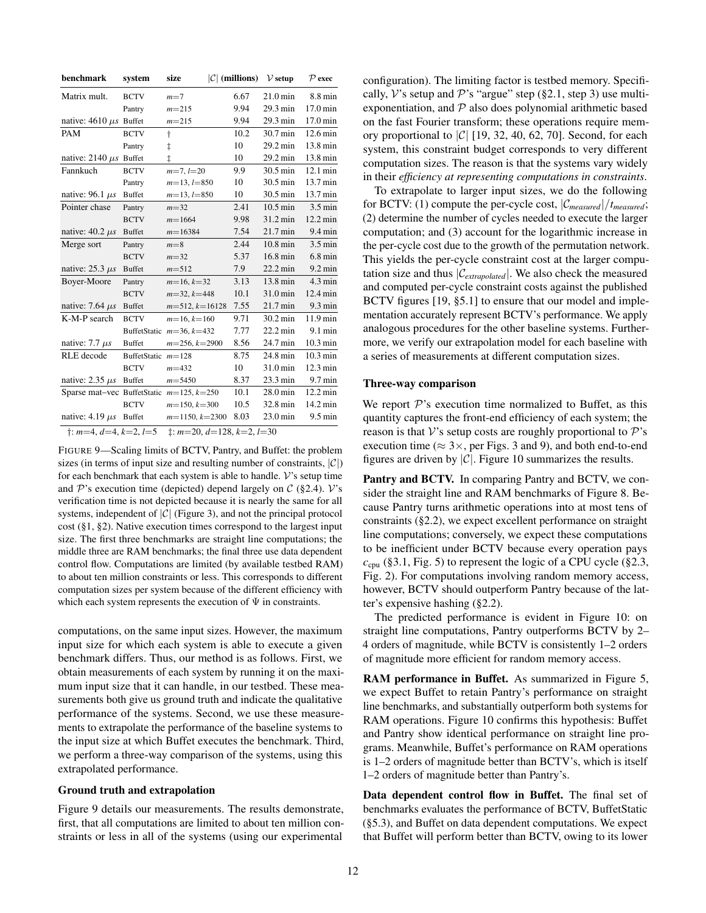<span id="page-11-1"></span>

| benchmark                                                                                        | system              | size             | $ \mathcal{C} $ (millions) | $\mathcal V$ setup    | $P$ exec              |  |
|--------------------------------------------------------------------------------------------------|---------------------|------------------|----------------------------|-----------------------|-----------------------|--|
| Matrix mult.                                                                                     | <b>BCTV</b>         | $m=7$            | 6.67                       | $21.0 \,\mathrm{min}$ | 8.8 min               |  |
|                                                                                                  | Pantry              | $m = 215$        | 9.94                       | $29.3 \text{ min}$    | $17.0 \,\mathrm{min}$ |  |
| native: $4610 \mu s$ Buffet                                                                      |                     | $m = 215$        | 9.94                       | 29.3 min              | 17.0 min              |  |
| PAM                                                                                              | <b>BCTV</b>         | t                | 10.2                       | 30.7 min              | $12.6 \,\mathrm{min}$ |  |
|                                                                                                  | Pantry              | ŧ                | 10                         | 29.2 min              | 13.8 min              |  |
| native: 2140 $\mu s$                                                                             | <b>Buffet</b>       | İ                | 10                         | 29.2 min              | 13.8 min              |  |
| Fannkuch                                                                                         | <b>BCTV</b>         | $m=7, l=20$      | 9.9                        | 30.5 min              | $12.1 \text{ min}$    |  |
|                                                                                                  | Pantry              | $m=13, l=850$    | 10                         | 30.5 min              | 13.7 min              |  |
| native: $96.1 \mu s$                                                                             | <b>Buffet</b>       | $m=13, l=850$    | 10                         | 30.5 min              | 13.7 min              |  |
| Pointer chase                                                                                    | Pantry              | $m=32$           | 2.41                       | $10.5 \text{ min}$    | $3.5 \text{ min}$     |  |
|                                                                                                  | <b>BCTV</b>         | $m = 1664$       | 9.98                       | $31.2 \text{ min}$    | $12.2 \text{ min}$    |  |
| native: $40.2 \mu s$                                                                             | <b>Buffet</b>       | $m=16384$        | 7.54                       | 21.7 min              | $9.4 \text{ min}$     |  |
| Merge sort                                                                                       | Pantry              | $m=8$            | 2.44                       | $10.8 \text{ min}$    | $3.5 \text{ min}$     |  |
|                                                                                                  | <b>BCTV</b>         | $m=32$           | 5.37                       | $16.8 \text{ min}$    | $6.8 \text{ min}$     |  |
| native: $25.3 \mu s$                                                                             | <b>Buffet</b>       | $m = 512$        | 7.9                        | $22.2 \text{ min}$    | $9.2 \text{ min}$     |  |
| Boyer-Moore                                                                                      | Pantry              | $m=16, k=32$     | 3.13                       | $13.8 \text{ min}$    | $4.3 \text{ min}$     |  |
|                                                                                                  | <b>BCTV</b>         | $m=32, k=448$    | 10.1                       | 31.0 min              | $12.4 \text{ min}$    |  |
| native: 7.64 $\mu$ s                                                                             | <b>Buffet</b>       | $m=512, k=16128$ | 7.55                       | 21.7 min              | $9.3 \text{ min}$     |  |
| K-M-P search                                                                                     | <b>BCTV</b>         | $m=16, k=160$    | 9.71                       | 30.2 min              | $11.9 \text{ min}$    |  |
|                                                                                                  | <b>BuffetStatic</b> | $m=36, k=432$    | 7.77                       | $22.2 \text{ min}$    | $9.1 \text{ min}$     |  |
| native: $7.7 \mu s$                                                                              | <b>Buffet</b>       | $m=256, k=2900$  | 8.56                       | 24.7 min              | 10.3 min              |  |
| RLE decode                                                                                       | <b>BuffetStatic</b> | $m=128$          | 8.75                       | 24.8 min              | $10.3 \text{ min}$    |  |
|                                                                                                  | <b>BCTV</b>         | $m = 432$        | 10                         | 31.0 min              | $12.3 \text{ min}$    |  |
| native: $2.35 \mu s$                                                                             | <b>Buffet</b>       | $m = 5450$       | 8.37                       | 23.3 min              | $9.7 \text{ min}$     |  |
| Sparse mat-vec BuffetStatic $m=125, k=250$                                                       |                     |                  | 10.1                       | $28.0 \,\mathrm{min}$ | $12.2 \text{ min}$    |  |
|                                                                                                  | <b>BCTV</b>         | $m=150, k=300$   | 10.5                       | 32.8 min              | 14.2 min              |  |
| native: $4.19 \mu s$                                                                             | <b>Buffet</b>       | $m=1150, k=2300$ | 8.03                       | 23.0 min              | $9.5 \text{ min}$     |  |
| $\dagger$ : <i>m</i> =4, <i>d</i> =4, <i>k</i> =2, <i>l</i> =5<br>$\pm$ : m=20, d=128, k=2, l=30 |                     |                  |                            |                       |                       |  |

FIGURE 9—Scaling limits of BCTV, Pantry, and Buffet: the problem sizes (in terms of input size and resulting number of constraints,  $|C|$ ) for each benchmark that each system is able to handle. V's setup time and  $\mathcal{P}$ 's execution time (depicted) depend largely on  $\mathcal{C}$  ([§2.4\)](#page-4-0).  $\mathcal{V}$ 's verification time is not depicted because it is nearly the same for all systems, independent of  $|C|$  (Figure [3\)](#page-4-1), and not the principal protocol cost ([§1,](#page-0-0) [§2\)](#page-1-0). Native execution times correspond to the largest input size. The first three benchmarks are straight line computations; the middle three are RAM benchmarks; the final three use data dependent control flow. Computations are limited (by available testbed RAM) to about ten million constraints or less. This corresponds to different computation sizes per system because of the different efficiency with which each system represents the execution of  $\Psi$  in constraints.

computations, on the same input sizes. However, the maximum input size for which each system is able to execute a given benchmark differs. Thus, our method is as follows. First, we obtain measurements of each system by running it on the maximum input size that it can handle, in our testbed. These measurements both give us ground truth and indicate the qualitative performance of the systems. Second, we use these measurements to extrapolate the performance of the baseline systems to the input size at which Buffet executes the benchmark. Third, we perform a three-way comparison of the systems, using this extrapolated performance.

## <span id="page-11-0"></span>Ground truth and extrapolation

Figure [9](#page-11-1) details our measurements. The results demonstrate, first, that all computations are limited to about ten million constraints or less in all of the systems (using our experimental

configuration). The limiting factor is testbed memory. Specifi-cally, V's setup and P's "argue" step ([§2.1,](#page-2-1) step 3) use multiexponentiation, and  $P$  also does polynomial arithmetic based on the fast Fourier transform; these operations require memory proportional to  $|\mathcal{C}|$  [\[19,](#page-14-13) [32,](#page-14-56) [40,](#page-14-17) [62,](#page-14-8) [70\]](#page-14-32). Second, for each system, this constraint budget corresponds to very different computation sizes. The reason is that the systems vary widely in their *efficiency at representing computations in constraints*.

To extrapolate to larger input sizes, we do the following for BCTV: (1) compute the per-cycle cost,  $|C_{measured}|/t_{measured}$ ; (2) determine the number of cycles needed to execute the larger computation; and (3) account for the logarithmic increase in the per-cycle cost due to the growth of the permutation network. This yields the per-cycle constraint cost at the larger computation size and thus  $|\mathcal{C}_{extrapolated}|$ . We also check the measured and computed per-cycle constraint costs against the published BCTV figures [\[19,](#page-14-13) §5.1] to ensure that our model and implementation accurately represent BCTV's performance. We apply analogous procedures for the other baseline systems. Furthermore, we verify our extrapolation model for each baseline with a series of measurements at different computation sizes.

#### Three-way comparison

We report  $P$ 's execution time normalized to Buffet, as this quantity captures the front-end efficiency of each system; the reason is that  $V$ 's setup costs are roughly proportional to  $P$ 's execution time ( $\approx$  [3](#page-4-1) $\times$ , per Figs. 3 and [9\)](#page-11-1), and both end-to-end figures are driven by  $|\mathcal{C}|$ . Figure [10](#page-12-1) summarizes the results.

Pantry and BCTV. In comparing Pantry and BCTV, we consider the straight line and RAM benchmarks of Figure [8.](#page-10-4) Because Pantry turns arithmetic operations into at most tens of constraints ([§2.2\)](#page-2-0), we expect excellent performance on straight line computations; conversely, we expect these computations to be inefficient under BCTV because every operation pays  $c_{\text{coul}}$  ([§3.1,](#page-5-1) Fig. [5\)](#page-6-0) to represent the logic of a CPU cycle ([§2.3,](#page-3-0) Fig. [2\)](#page-3-2). For computations involving random memory access, however, BCTV should outperform Pantry because of the latter's expensive hashing ([§2.2\)](#page-2-0).

The predicted performance is evident in Figure [10:](#page-12-1) on straight line computations, Pantry outperforms BCTV by 2– 4 orders of magnitude, while BCTV is consistently 1–2 orders of magnitude more efficient for random memory access.

RAM performance in Buffet. As summarized in Figure [5,](#page-6-0) we expect Buffet to retain Pantry's performance on straight line benchmarks, and substantially outperform both systems for RAM operations. Figure [10](#page-12-1) confirms this hypothesis: Buffet and Pantry show identical performance on straight line programs. Meanwhile, Buffet's performance on RAM operations is 1–2 orders of magnitude better than BCTV's, which is itself 1–2 orders of magnitude better than Pantry's.

Data dependent control flow in Buffet. The final set of benchmarks evaluates the performance of BCTV, BuffetStatic ([§5.3\)](#page-10-3), and Buffet on data dependent computations. We expect that Buffet will perform better than BCTV, owing to its lower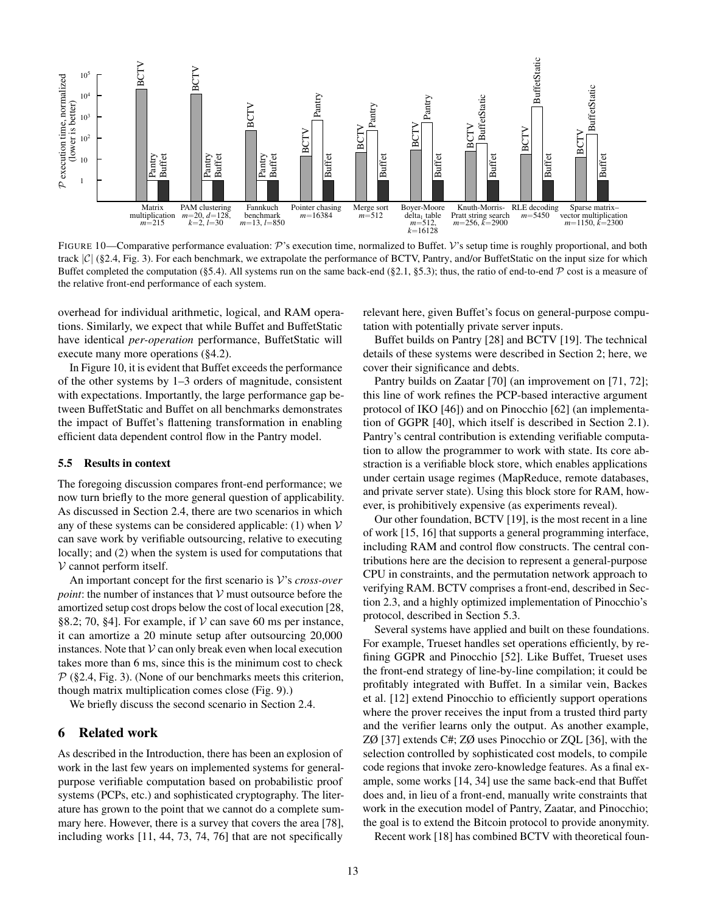<span id="page-12-1"></span>

FIGURE 10—Comparative performance evaluation: P's execution time, normalized to Buffet. V's setup time is roughly proportional, and both track  $|C|$  ([§2.4,](#page-4-0) Fig. [3\)](#page-4-1). For each benchmark, we extrapolate the performance of BCTV, Pantry, and/or BuffetStatic on the input size for which Buffet completed the computation ([§5.4\)](#page-10-0). All systems run on the same back-end ([§2.1,](#page-2-1) [§5.3\)](#page-10-2); thus, the ratio of end-to-end  $P$  cost is a measure of the relative front-end performance of each system.

overhead for individual arithmetic, logical, and RAM operations. Similarly, we expect that while Buffet and BuffetStatic have identical *per-operation* performance, BuffetStatic will execute many more operations ([§4.2\)](#page-8-2).

In Figure [10,](#page-12-1) it is evident that Buffet exceeds the performance of the other systems by 1–3 orders of magnitude, consistent with expectations. Importantly, the large performance gap between BuffetStatic and Buffet on all benchmarks demonstrates the impact of Buffet's flattening transformation in enabling efficient data dependent control flow in the Pantry model.

### <span id="page-12-2"></span>5.5 Results in context

The foregoing discussion compares front-end performance; we now turn briefly to the more general question of applicability. As discussed in Section [2.4,](#page-4-0) there are two scenarios in which any of these systems can be considered applicable: (1) when  $V$ can save work by verifiable outsourcing, relative to executing locally; and (2) when the system is used for computations that  $V$  cannot perform itself.

An important concept for the first scenario is V's *cross-over point*: the number of instances that  $V$  must outsource before the amortized setup cost drops below the cost of local execution [\[28,](#page-14-14) §8.2; [70,](#page-14-32) §4]. For example, if  $V$  can save 60 ms per instance, it can amortize a 20 minute setup after outsourcing 20,000 instances. Note that  $V$  can only break even when local execution takes more than 6 ms, since this is the minimum cost to check  $P$  ([§2.4,](#page-4-0) Fig. [3\)](#page-4-1). (None of our benchmarks meets this criterion, though matrix multiplication comes close (Fig. [9\)](#page-11-1).)

We briefly discuss the second scenario in Section [2.4.](#page-4-0)

## <span id="page-12-0"></span>6 Related work

As described in the Introduction, there has been an explosion of work in the last few years on implemented systems for generalpurpose verifiable computation based on probabilistic proof systems (PCPs, etc.) and sophisticated cryptography. The literature has grown to the point that we cannot do a complete summary here. However, there is a survey that covers the area [\[78\]](#page-14-11), including works [\[11,](#page-13-12) [44,](#page-14-27) [73,](#page-14-37) [74,](#page-14-20) [76\]](#page-14-10) that are not specifically

relevant here, given Buffet's focus on general-purpose computation with potentially private server inputs.

Buffet builds on Pantry [\[28\]](#page-14-14) and BCTV [\[19\]](#page-14-13). The technical details of these systems were described in Section [2;](#page-1-0) here, we cover their significance and debts.

Pantry builds on Zaatar [\[70\]](#page-14-32) (an improvement on [\[71,](#page-14-9) [72\]](#page-14-36); this line of work refines the PCP-based interactive argument protocol of IKO [\[46\]](#page-14-25)) and on Pinocchio [\[62\]](#page-14-8) (an implementation of GGPR [\[40\]](#page-14-17), which itself is described in Section [2.1\)](#page-2-1). Pantry's central contribution is extending verifiable computation to allow the programmer to work with state. Its core abstraction is a verifiable block store, which enables applications under certain usage regimes (MapReduce, remote databases, and private server state). Using this block store for RAM, however, is prohibitively expensive (as experiments reveal).

Our other foundation, BCTV [\[19\]](#page-14-13), is the most recent in a line of work [\[15,](#page-14-34) [16\]](#page-14-12) that supports a general programming interface, including RAM and control flow constructs. The central contributions here are the decision to represent a general-purpose CPU in constraints, and the permutation network approach to verifying RAM. BCTV comprises a front-end, described in Section [2.3,](#page-3-0) and a highly optimized implementation of Pinocchio's protocol, described in Section [5.3.](#page-10-2)

Several systems have applied and built on these foundations. For example, Trueset handles set operations efficiently, by refining GGPR and Pinocchio [\[52\]](#page-14-18). Like Buffet, Trueset uses the front-end strategy of line-by-line compilation; it could be profitably integrated with Buffet. In a similar vein, Backes et al. [\[12\]](#page-13-13) extend Pinocchio to efficiently support operations where the prover receives the input from a trusted third party and the verifier learns only the output. As another example, ZØ [\[37\]](#page-14-16) extends C#; ZØ uses Pinocchio or ZQL [\[36\]](#page-14-57), with the selection controlled by sophisticated cost models, to compile code regions that invoke zero-knowledge features. As a final example, some works [\[14,](#page-13-4) [34\]](#page-14-33) use the same back-end that Buffet does and, in lieu of a front-end, manually write constraints that work in the execution model of Pantry, Zaatar, and Pinocchio; the goal is to extend the Bitcoin protocol to provide anonymity.

Recent work [\[18\]](#page-14-58) has combined BCTV with theoretical foun-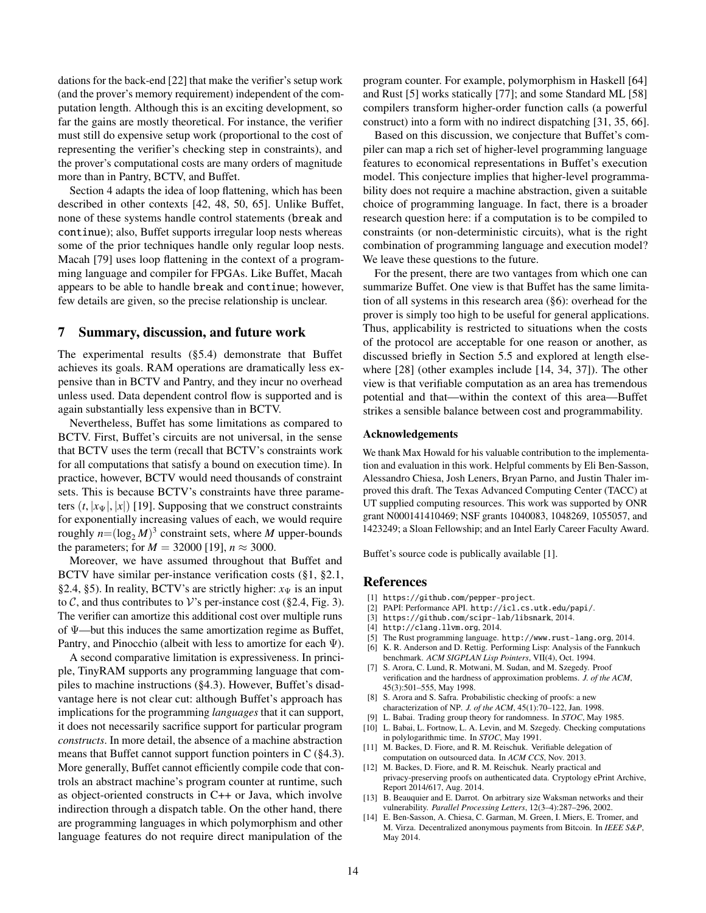dations for the back-end [\[22\]](#page-14-22) that make the verifier's setup work (and the prover's memory requirement) independent of the computation length. Although this is an exciting development, so far the gains are mostly theoretical. For instance, the verifier must still do expensive setup work (proportional to the cost of representing the verifier's checking step in constraints), and the prover's computational costs are many orders of magnitude more than in Pantry, BCTV, and Buffet.

Section [4](#page-7-0) adapts the idea of loop flattening, which has been described in other contexts [\[42,](#page-14-47) [48,](#page-14-48) [50,](#page-14-49) [65\]](#page-14-50). Unlike Buffet, none of these systems handle control statements (break and continue); also, Buffet supports irregular loop nests whereas some of the prior techniques handle only regular loop nests. Macah [\[79\]](#page-14-51) uses loop flattening in the context of a programming language and compiler for FPGAs. Like Buffet, Macah appears to be able to handle break and continue; however, few details are given, so the precise relationship is unclear.

## <span id="page-13-5"></span>7 Summary, discussion, and future work

The experimental results ([§5.4\)](#page-10-0) demonstrate that Buffet achieves its goals. RAM operations are dramatically less expensive than in BCTV and Pantry, and they incur no overhead unless used. Data dependent control flow is supported and is again substantially less expensive than in BCTV.

Nevertheless, Buffet has some limitations as compared to BCTV. First, Buffet's circuits are not universal, in the sense that BCTV uses the term (recall that BCTV's constraints work for all computations that satisfy a bound on execution time). In practice, however, BCTV would need thousands of constraint sets. This is because BCTV's constraints have three parameters  $(t, |x_{\Psi}|, |x|)$  [\[19\]](#page-14-13). Supposing that we construct constraints for exponentially increasing values of each, we would require roughly  $n = (\log_2 M)^3$  constraint sets, where *M* upper-bounds the parameters; for  $M = 32000$  [\[19\]](#page-14-13),  $n \approx 3000$ .

Moreover, we have assumed throughout that Buffet and BCTV have similar per-instance verification costs ([§1,](#page-0-0) [§2.1,](#page-2-1) [§2.4,](#page-4-0) [§5\)](#page-9-1). In reality, BCTV's are strictly higher:  $x_{\Psi}$  is an input to C, and thus contributes to V's per-instance cost ([§2.4,](#page-4-0) Fig. [3\)](#page-4-1). The verifier can amortize this additional cost over multiple runs of Ψ—but this induces the same amortization regime as Buffet, Pantry, and Pinocchio (albeit with less to amortize for each  $\Psi$ ).

A second comparative limitation is expressiveness. In principle, TinyRAM supports any programming language that compiles to machine instructions ([§4.3\)](#page-9-0). However, Buffet's disadvantage here is not clear cut: although Buffet's approach has implications for the programming *languages* that it can support, it does not necessarily sacrifice support for particular program *constructs*. In more detail, the absence of a machine abstraction means that Buffet cannot support function pointers in C ([§4.3\)](#page-9-0). More generally, Buffet cannot efficiently compile code that controls an abstract machine's program counter at runtime, such as object-oriented constructs in C++ or Java, which involve indirection through a dispatch table. On the other hand, there are programming languages in which polymorphism and other language features do not require direct manipulation of the

program counter. For example, polymorphism in Haskell [\[64\]](#page-14-59) and Rust [\[5\]](#page-13-14) works statically [\[77\]](#page-14-60); and some Standard ML [\[58\]](#page-14-61) compilers transform higher-order function calls (a powerful construct) into a form with no indirect dispatching [\[31,](#page-14-62) [35,](#page-14-63) [66\]](#page-14-64).

Based on this discussion, we conjecture that Buffet's compiler can map a rich set of higher-level programming language features to economical representations in Buffet's execution model. This conjecture implies that higher-level programmability does not require a machine abstraction, given a suitable choice of programming language. In fact, there is a broader research question here: if a computation is to be compiled to constraints (or non-deterministic circuits), what is the right combination of programming language and execution model? We leave these questions to the future.

For the present, there are two vantages from which one can summarize Buffet. One view is that Buffet has the same limitation of all systems in this research area ([§6\)](#page-12-0): overhead for the prover is simply too high to be useful for general applications. Thus, applicability is restricted to situations when the costs of the protocol are acceptable for one reason or another, as discussed briefly in Section [5.5](#page-12-2) and explored at length elsewhere [\[28\]](#page-14-14) (other examples include [\[14,](#page-13-4) [34,](#page-14-33) [37\]](#page-14-16)). The other view is that verifiable computation as an area has tremendous potential and that—within the context of this area—Buffet strikes a sensible balance between cost and programmability.

#### Acknowledgements

We thank Max Howald for his valuable contribution to the implementation and evaluation in this work. Helpful comments by Eli Ben-Sasson, Alessandro Chiesa, Josh Leners, Bryan Parno, and Justin Thaler improved this draft. The Texas Advanced Computing Center (TACC) at UT supplied computing resources. This work was supported by ONR grant N000141410469; NSF grants 1040083, 1048269, 1055057, and 1423249; a Sloan Fellowship; and an Intel Early Career Faculty Award.

Buffet's source code is publically available [\[1\]](#page-13-8).

## References

- <span id="page-13-8"></span>[1] <https://github.com/pepper-project>.
- <span id="page-13-11"></span>[2] PAPI: Performance API. <http://icl.cs.utk.edu/papi/>.
- <span id="page-13-6"></span>[3] <https://github.com/scipr-lab/libsnark>, 2014.
- <span id="page-13-9"></span>[4] <http://clang.llvm.org>, 2014.
- <span id="page-13-14"></span>[5] The Rust programming language. <http://www.rust-lang.org>, 2014.
- <span id="page-13-10"></span>[6] K. R. Anderson and D. Rettig. Performing Lisp: Analysis of the Fannkuch benchmark. *ACM SIGPLAN Lisp Pointers*, VII(4), Oct. 1994.
- <span id="page-13-1"></span>[7] S. Arora, C. Lund, R. Motwani, M. Sudan, and M. Szegedy. Proof verification and the hardness of approximation problems. *J. of the ACM*, 45(3):501–555, May 1998.
- <span id="page-13-2"></span>[8] S. Arora and S. Safra. Probabilistic checking of proofs: a new characterization of NP. *J. of the ACM*, 45(1):70–122, Jan. 1998.
- <span id="page-13-3"></span>[9] L. Babai. Trading group theory for randomness. In *STOC*, May 1985.
- <span id="page-13-0"></span>[10] L. Babai, L. Fortnow, L. A. Levin, and M. Szegedy. Checking computations in polylogarithmic time. In *STOC*, May 1991.
- <span id="page-13-12"></span>[11] M. Backes, D. Fiore, and R. M. Reischuk. Verifiable delegation of computation on outsourced data. In *ACM CCS*, Nov. 2013.
- <span id="page-13-13"></span>[12] M. Backes, D. Fiore, and R. M. Reischuk. Nearly practical and privacy-preserving proofs on authenticated data. Cryptology ePrint Archive, Report 2014/617, Aug. 2014.
- <span id="page-13-7"></span>[13] B. Beauquier and E. Darrot. On arbitrary size Waksman networks and their vulnerability. *Parallel Processing Letters*, 12(3–4):287–296, 2002.
- <span id="page-13-4"></span>[14] E. Ben-Sasson, A. Chiesa, C. Garman, M. Green, I. Miers, E. Tromer, and M. Virza. Decentralized anonymous payments from Bitcoin. In *IEEE S&P*, May 2014.